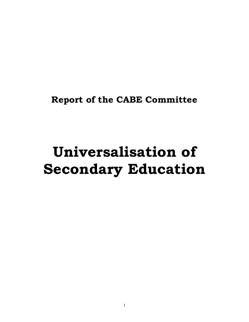**Report of the CABE Committee** 

# **Universalisation of Secondary Education**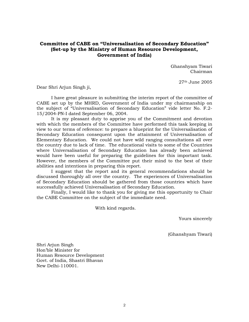**Committee of CABE on "Universalisation of Secondary Education" (Set-up by the Ministry of Human Resource Development, Government of India)** 

> Ghanshyam Tiwari Chairman

> > 27th June 2005

Dear Shri Arjun Singh ji,

 I have great pleasure in submitting the interim report of the committee of CABE set up by the MHRD, Government of India under my chairmanship on the subject of "Universalisation of Secondary Education" vide letter No. F.2- 15/2004-PN-I dated September 06, 2004.

It is my pleasant duty to apprise you of the Commitment and devotion with which the members of the Committee have performed this task keeping in view to our terms of reference: to prepare a blueprint for the Universalisation of Secondary Education consequent upon the attainment of Universalisation of Elementary Education. We could not have wild ranging consultations all over the country due to lack of time. The educational visits to some of the Countries where Universalisation of Secondary Education has already been achieved would have been useful for preparing the guidelines for this important task. However, the members of the Committee put their mind to the best of their abilities and intentions in preparing this report.

 I suggest that the report and its general recommendations should be discussed thoroughly all over the country. The experiences of Universalisation of Secondary Education should be gathered from those countries which have successfully achieved Universalisation of Secondary Education.

 Finally, I would like to thank you for giving me this opportunity to Chair the CABE Committee on the subject of the immediate need.

With kind regards.

Yours sincerely

(Ghanshyam Tiwari)

Shri Arjun Singh Hon'ble Minister for Human Resource Development Govt. of India, Shastri Bhavan New Delhi-110001.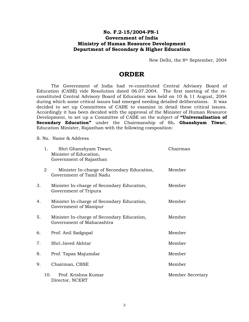## **No. F.2-15/2004-PN-1 Government of India Ministry of Human Resource Development Department of Secondary & Higher Education**

New Delhi, the 8th September, 2004

# **ORDER**

The Government of India had re-constituted Central Advisory Board of Education (CABE) vide Resolution dated 06.07.2004. The first meeting of the reconstituted Central Advisory Board of Education was held on 10 & 11 August, 2004 during which some critical issues had emerged needing detailed deliberations. It was decided to set up Committees of CABE to examine in detail these critical issues. Accordingly it has been decided with the approval of the Minister of Human Resource Development, to set up a Committee of CABE on the subject of **"Universalisation of Secondary Education"** under the Chairmanship of Sh**. Ghanshyam Tiwar**i, Education Minister, Rajasthan with the following composition:

S. No. Name & Address

|    | 1.              | Shri Ghanshyam Tiwari,<br>Minister of Education,<br>Government of Rajasthan | Chairman         |
|----|-----------------|-----------------------------------------------------------------------------|------------------|
|    | 2               | Minister In-charge of Secondary Education,<br>Government of Tamil Nadu      | Member           |
| 3. |                 | Minister In-charge of Secondary Education,<br>Government of Tripura         | Member           |
| 4. |                 | Minister In-charge of Secondary Education,<br>Government of Manipur         | Member           |
| 5. |                 | Minister In-charge of Secondary Education,<br>Government of Maharashtra     | Member           |
| 6. |                 | Prof. Anil Sadgopal                                                         | Member           |
| 7. |                 | Shri Javed Akhtar                                                           | Member           |
| 8. |                 | Prof. Tapas Majumdar                                                        | Member           |
| 9. |                 | Chairman, CBSE                                                              | Member           |
|    | 10 <sub>1</sub> | Prof. Krishna Kumar<br>Director, NCERT                                      | Member Secretary |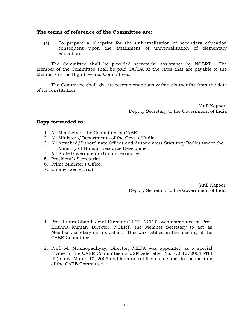## **The terms of reference of the Committee are:**

(a) To prepare a blueprint for the universalisation of secondary education consequent upon the attainment of universalisation of elementary education.

The Committee shall be provided secretarial assistance by NCERT. The Member of the Committee shall be paid TA/DA at the rates that are payable to the Members of the High Powered Committees.

The Committee shall give its recommendations within six months from the date of its constitution.

> (Anil Kapoor) Deputy Secretary to the Government of India

## **Copy forwarded to:**

- 1. All Members of the Committee of CABE.
- 2. All Ministers/Departments of the Govt. of India.
- 3. All Attached/Subordinate Offices and Autonomous Statutory Bodies under the Ministry of Human Resource Development.
- 4. All State Governments/Union Territories.
- 5. President's Secretariat.
- 6. Prime Minister's Office.
- 7. Cabinet Secretariat.

**\_\_\_\_\_\_\_\_\_\_\_\_\_\_\_\_\_\_\_\_\_\_\_\_** 

(Anil Kapoor) Deputy Secretary to the Government of India

- 1. Prof. Puran Chand, Joint Director (CIET), NCERT was nominated by Prof. Krishna Kumar, Director, NCERT, the Member Secretary to act as Member Secretary on his behalf. This was ratified in the meeting of the CABE Committee.
- 2. Prof. M. Mukhopadhyay, Director, NIEPA was appointed as a special invitee in the CABE Committee on USE vide letter No. F.2-12/2004-PN.I (Pt) dated March 10, 2005 and later on ratified as member in the meeting of the CABE Committee.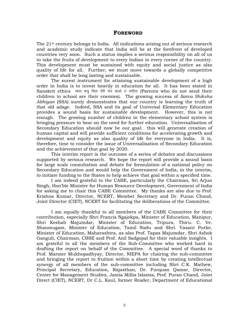## **FOREWORD**

The  $21$ <sup>st</sup> century belongs to India. All indications arising out of serious research and academic study indicate that India will be at the forefront of developed countries very soon. Such a status implies a serious responsibility on all of us to take the fruits of development to every Indian in every corner of the country. This development must be sustained with equity and social justice as also quality of life for all. Further, we must move towards a globally competitive order that shall be long lasting and sustainable.

The surest instrument for attaining sustainable development of a high order in India is to invest heavily in education for all. It has been stated in Sanskrit ethics माता शत्र पिता वैरी येन बालो न पाठितः (Parents who do not send their children to school are their enemies). The growing success of *Sarva Shiksha Abhiyan* (SSA) surely demonstrates that our country is learning the truth of that old adage. Indeed, SSA and its goal of Universal Elementary Education provides a sound basis for sustainable development. However, this is not enough. The growing number of children in the elementary school system is bringing pressure to bear on the need for further education. Universalisation of Secondary Education should now be our goal: this will generate creation of human capital and will provide sufficient conditions for accelerating growth and development and equity as also quality of life for everyone in India. It is, therefore, time to consider the issue of Universalisation of Secondary Education and the achievement of that goal by 2020.

This interim report is the outcome of a series of debates and discussions supported by serious research. We hope the report will provide a sound basis for large scale consultation and debate for formulation of a national policy on Secondary Education and would help the Government of India, in the interim, to initiate funding to the States to help achieve that goal within a specified time.

I am indeed grateful to the CABE, particularly the Chairman, Sri Arjun Singh, Hon'ble Minister for Human Resource Development, Government of India for asking me to chair this CABE Committee. My thanks are also due to Prof. Krishna Kumar, Director, NCERT, Member Secretary and Dr. Puran Chand, Joint Director (CIET), NCERT for facilitating the deliberations of the Committee.

I am equally thankful to all members of the CABE Committee for their contribution, especially Shri Francis Ngajokpa, Minister of Education, Manipur, Shri Keshab Majumdar, Minister of Education, Tripura, Thiru. C. Ve. Shanmugam, Minister of Education, Tamil Nadu and Shri. Vasant Purke, Minister of Education, Maharashtra, as also Prof. Tapas Majumdar, Shri Ashok Ganguli, Chairman, CBSE and Prof. Anil Sadgopal for their valuable insights. I am grateful to all the members of the Sub-Committee who worked hard in drafting the report on behalf of the Committee. A special word of thanks to Prof. Marmer Mukhopadhyay, Director, NIEPA for chairing the sub-committee and bringing the report to fruition within a short time by creating intellectual synergy of all members of the sub-committee including Shri C.K. Mathew, Principal Secretary, Education, Rajasthan, Dr. Furquan Qamar, Director, Center for Management Studies, Jamia Millia Islamia, Prof. Puran Chand, Joint Direct (CIET), NCERT, Dr C.L. Kaul, former Reader, Department of Educational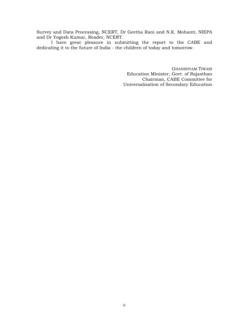Survey and Data Processing, NCERT, Dr Geetha Rani and N.K. Mohanti, NIEPA and Dr Yogesh Kumar, Reader, NCERT.

 I have great pleasure in submitting the report to the CABE and dedicating it to the future of India - the children of today and tomorrow.

> GHANSHYAM TIWARI Education Minister, Govt. of Rajasthan Chairman, CABE Committee for Universalisation of Secondary Education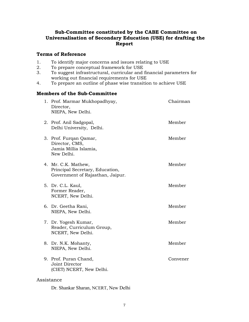# **Sub-Committee constituted by the CABE Committee on Universalisation of Secondary Education (USE) for drafting the Report**

## **Terms of Reference**

- 1. To identify major concerns and issues relating to USE
- 2. To prepare conceptual framework for USE<br>3. To suggest infrastructural, curricular and
- 3. To suggest infrastructural, curricular and financial parameters for working out financial requirements for USE
- 4. To prepare an outline of phase wise transition to achieve USE

## **Members of the Sub-Committee**

|            | 1. Prof. Marmar Mukhopadhyay,<br>Director,<br>NIEPA, New Delhi.                            | Chairman |
|------------|--------------------------------------------------------------------------------------------|----------|
|            | 2. Prof. Anil Sadgopal,<br>Delhi University, Delhi.                                        | Member   |
|            | 3. Prof. Furqan Qamar,<br>Director, CMS,<br>Jamia Millia Islamia,<br>New Delhi.            | Member   |
|            | 4. Mr. C.K. Mathew,<br>Principal Secretary, Education,<br>Government of Rajasthan, Jaipur. | Member   |
|            | 5. Dr. C.L. Kaul,<br>Former Reader,<br>NCERT, New Delhi.                                   | Member   |
|            | 6. Dr. Geetha Rani,<br>NIEPA, New Delhi.                                                   | Member   |
|            | 7. Dr. Yogesh Kumar,<br>Reader, Curriculum Group,<br>NCERT, New Delhi.                     | Member   |
|            | 8. Dr. N.K. Mohanty,<br>NIEPA, New Delhi.                                                  | Member   |
|            | 9. Prof. Puran Chand,<br>Joint Director<br>(CIET) NCERT, New Delhi.                        | Convener |
| Assistance |                                                                                            |          |

Dr. Shankar Sharan, NCERT, New Delhi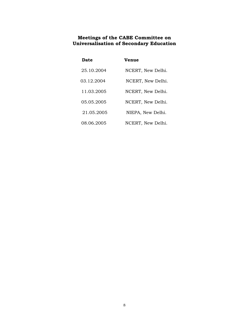## **Meetings of the CABE Committee on Universalisation of Secondary Education**

| Date       | Venue             |
|------------|-------------------|
| 25.10.2004 | NCERT, New Delhi. |
| 03.12.2004 | NCERT, New Delhi. |
| 11.03.2005 | NCERT, New Delhi. |
| 05.05.2005 | NCERT, New Delhi. |
| 21.05.2005 | NIEPA, New Delhi. |
| 08.06.2005 | NCERT, New Delhi. |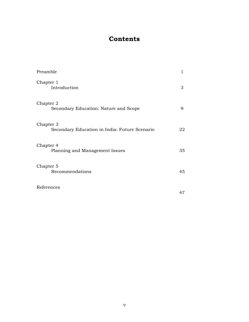# **Contents**

| Preamble                                                   | 1  |
|------------------------------------------------------------|----|
| Chapter 1<br>Introduction                                  | 3  |
| Chapter 2<br>Secondary Education: Nature and Scope         | 9  |
| Chapter 3<br>Secondary Education in India: Future Scenario | 22 |
| Chapter 4<br>Planning and Management Issues                | 35 |
| Chapter 5<br>Recommendations                               | 45 |
| References                                                 | 47 |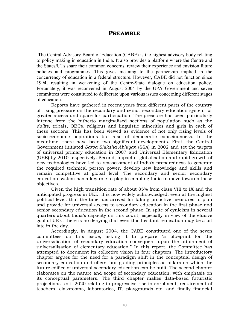# **PREAMBLE**

The Central Advisory Board of Education (CABE) is the highest advisory body relating to policy making in education in India. It also provides a platform where the Centre and the States/UTs share their common concerns, review their experience and envision future policies and programmes. This gives meaning to the partnership implied in the concurrency of education in a federal structure. However, CABE did not function since 1994, resulting in weakening of the Centre-State dialogue on education policy. Fortunately, it was reconvened in August 2004 by the UPA Government and seven committees were constituted to deliberate upon various issues concerning different stages of education.

Reports have gathered in recent years from different parts of the country of rising pressure on the secondary and senior secondary education system for greater access and space for participation. The pressure has been particularly intense from the hitherto marginalised sections of population such as the *dalits*, tribals, OBCs, religious and linguistic minorities and girls in each of these sections. This has been viewed as evidence of not only rising levels of socio-economic aspirations but also of democratic consciousness. In the meantime, there have been two significant developments. First, the Central Government initiated *Sarva Shiksha Abhiyan* (SSA) in 2002 and set the targets of universal primary education in 2007 and Universal Elementary Education (UEE) by 2010 respectively. Second, impact of globalisation and rapid growth of new technologies have led to reassessment of India's preparedness to generate the required technical person power, develop new knowledge and skills and remain competitive at global level. The secondary and senior secondary education system has a key role to play in enabling India to move towards these objectives.

Given the high transition rate of about 85% from class VIII to IX and the anticipated progress in UEE, it is now widely acknowledged, even at the highest political level, that the time has arrived for taking proactive measures to plan and provide for universal access to secondary education in the first phase and senior secondary education in the second phase. In spite of cynicism in several quarters about India's capacity on this count, especially in view of the elusive goal of UEE, there is no denying that even this hesitant realisation may be a bit late in the day.

Accordingly, in August 2004, the CABE constituted one of the seven committees on this issue, asking it to prepare "a blueprint for the universalisation of secondary education consequent upon the attainment of universalisation of elementary education." In this report, the Committee has attempted to document its collective vision in four chapters. The introductory chapter argues for the need for a paradigm shift in the conceptual design of secondary education and offers four guiding principles as pillars on which the future edifice of universal secondary education can be built. The second chapter elaborates on the nature and scope of secondary education, with emphasis on its conceptual parameters. The third chapter makes data-based futuristic projections until 2020 relating to progressive rise in enrolment, requirement of teachers, classrooms, laboratories, IT, playgrounds etc. and finally financial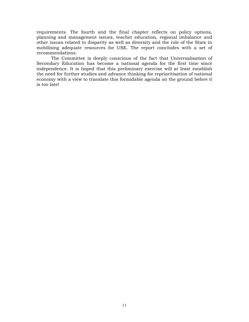requirements. The fourth and the final chapter reflects on policy options, planning and management issues, teacher education, regional imbalance and other issues related to disparity as well as diversity and the role of the State in mobilising adequate resources for USE. The report concludes with a set of recommendations.

The Committee is deeply conscious of the fact that Universalisation of Secondary Education has become a national agenda for the first time since independence. It is hoped that this preliminary exercise will at least establish the need for further studies and advance thinking for reprioritisation of national economy with a view to translate this formidable agenda on the ground before it is too late!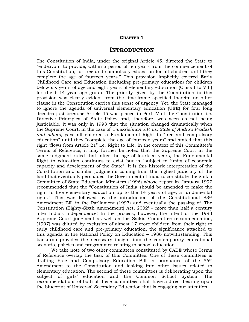#### **CHAPTER 1**

## **INTRODUCTION**

The Constitution of India, under the original Article 45, directed the State to "endeavour to provide, within a period of ten years from the commencement of this Constitution, for free and compulsory education for all children until they complete the age of fourteen years." This provision implicitly covered Early Childhood Care and Education (including pre-primary education) for children below six years of age and eight years of elementary education (Class I to VIII) for the 6-14 year age group. The priority given by the Constitution to this provision was clearly evident from the time-frame specified therein; no other clause in the Constitution carries this sense of urgency. Yet, the State managed to ignore the agenda of universal elementary education (UEE) for four long decades just because Article 45 was placed in Part IV of the Constitution i.e. Directive Principles of State Policy and, therefore, was seen as not being justiciable. It was only in 1993 that the situation changed dramatically when the Supreme Court, in the case of *Unnikrishnan J.P. vs. State of Andhra Pradesh and others*, gave all children a Fundamental Right to "free and compulsory education" until they "complete the age of fourteen years" and stated that this right "flows from Article 21" i.e. Right to Life. In the context of this Committee's Terms of Reference, it may further be noted that the Supreme Court in the same judgment ruled that, after the age of fourteen years, the Fundamental Right to education continues to exist but is "subject to limits of economic capacity and development of the State". It is this historic interpretation of the Constitution and similar judgments coming from the highest judiciary of the land that eventually persuaded the Government of India to constitute the Saikia Committee of State Education Ministers (1996) whose report in January 1997 recommended that the "Constitution of India should be amended to make the right to free elementary education up to the 14 years of age, a fundamental right." This was followed by the introduction of the Constitutional 83rd Amendment Bill in the Parliament (1997) and eventually the passing of 'The Constitution (Eighty-Sixth Amendment) Act, 2002' – more than half a century after India's independence! In the process, however, the intent of the 1993 Supreme Court judgment as well as the Saikia Committee recommendation, (1997) was diluted by exclusion of almost 17 crore children from their right to early childhood care and pre-primary education, the significance attached to this agenda in the National Policy on Education – 1986 notwithstanding. This backdrop provides the necessary insight into the contemporary educational scenario, policies and programmes relating to school education.

We take note of two other committees constituted by CABE whose Terms of Reference overlap the task of this Committee. One of these committees is drafting Free and Compulsory Education Bill in pursuance of the 86th Amendment to the Constitution and looking into other issues related to elementary education. The second of these committees is deliberating upon the subject of girls' education and the Common School System. The recommendations of both of these committees shall have a direct bearing upon the blueprint of Universal Secondary Education that is engaging our attention.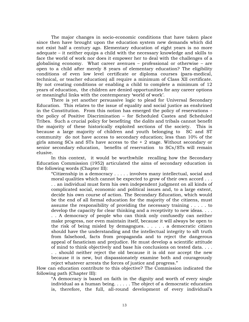The major changes in socio-economic conditions that have taken place since then have brought upon the education system new demands which did not exist half a century ago. Elementary education of eight years is no more adequate – it neither equips a child with the necessary knowledge and skills to face the world of work nor does it empower her to deal with the challenges of a globalising economy. What career avenues – professional or otherwise – are open to a child after merely 8 years of elementary education? The eligibility conditions of even low level certificate or diploma courses (para-medical, technical, or teacher education) all require a minimum of Class XII certificate. By not creating conditions or enabling a child to complete a minimum of 12 years of education, the children are denied opportunities for any career options or meaningful links with the contemporary 'world of work'.

There is yet another persuasive logic to plead for Universal Secondary Education. This relates to the issue of equality and social justice as enshrined in the Constitution. From this notion has emerged the policy of reservations – the policy of Positive Discrimination – for Scheduled Castes and Scheduled Tribes. Such a crucial policy for benefiting the d*alits* and tribals cannot benefit the majority of these historically exploited sections of the society. This is because a large majority of children and youth belonging to SC and ST community do not have access to secondary education; less than 10% of the girls among SCs and STs have access to the  $+2$  stage. Without secondary or senior secondary education, benefits of reservation to SCs/STs will remain elusive.

In this context, it would be worthwhile recalling how the Secondary Education Commission (1952) articulated the aims of secondary education in the following words (Chapter III):

"Citizenship in a democracy . . . . . involves many intellectual, social and moral qualities which cannot be expected to grow of their own accord . . . . . an individual must form his own independent judgment on all kinds of complicated social, economic and political issues and, to a large extent, decide his own course of action. The Secondary Education, which would be the end of all formal education for the majority of the citizens, must assume the responsibility of providing the necessary training . . . . . to develop the capacity for clear thinking and a receptivity to new ideas. . . . . . A democracy of people who can think only confusedly can neither make progress, nor even maintain itself, because it will always be open to the risk of being misled by demagogues.  $\ldots$  . . . . a democratic citizen should have the understanding and the intellectual integrity to sift truth from falsehood, facts from propaganda and to reject the dangerous appeal of fanaticism and prejudice. He must develop a scientific attitude of mind to think objectively and base his conclusions on tested data. . . .

. . should neither reject the old because it is old nor accept the new because it is new, but dispassionately examine both and courageously reject whatever arrests the forces of justice and progress."

How can education contribute to this objective? The Commission indicated the following path (Chapter III):

"A democracy is based on faith in the dignity and worth of every single individual as a human being. . . . . . The object of a democratic education is, therefore, the full, all-round development of every individual's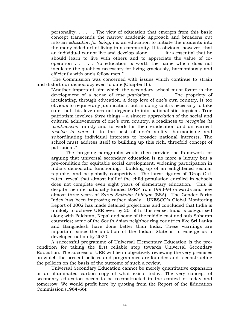personality. . . . . . The view of education that emerges from this basic concept transcends the narrow academic approach and broadens out into an *education for living*, i.e. an education to initiate the students into the many-sided art of living in a community. It is obvious, however, that an individual cannot live and develop alone. . . . . . it is essential that he should learn to live with others and to appreciate the value of cooperation . . . . . No education is worth the name which does not inculcate the qualities necessary for living graciously, harmoniously and efficiently with one's fellow men."

 The Commission was concerned with issues which continue to strain and distort our democracy even to date (Chapter III):

"Another important aim which the secondary school must foster is the development of a sense of *true patriotism*. . . . . . The propriety of inculcating, through education, a deep love of one's own country, is too obvious to require any justification, but in doing so it is necessary to take care that this love does not degenerate into nationalistic jingoism. True patriotism involves *three* things – a sincere *appreciation* of the social and cultural achievements of one's own country, a readiness to *recognise its weaknesses* frankly and to work for their eradication and an earnest *resolve to serve* it to the best of one's ability, harmonising and subordinating individual interests to broader national interests. The school must address itself to building up this rich, threefold concept of patriotism."

The foregoing paragraphs would then provide the framework for arguing that universal secondary education is no more a luxury but a pre-condition for equitable social development, widening participation in India's democratic functioning, building up of an enlightened secular republic, and be globally competitive. The latest figures of 'Drop Out' rates reveal that almost half of the child population enrolled in schools does not complete even eight years of elementary education. This is despite the internationally funded DPEP from 1993-94 onwards and now almost three years of *Sarva Shiksha Abhiyan* (SSA). The Gender Parity Index has been improving rather slowly. UNESCO's Global Monitoring Report of 2002 has made detailed projections and concluded that India is unlikely to achieve UEE even by 2015! In this sense, India is categorised along with Pakistan, Nepal and some of the middle east and sub-Saharan countries; some of the South Asian neighbouring countries like Sri Lanka and Bangladesh have done better than India. These warnings are important since the ambition of the Indian State is to emerge as a developed nation by 2020.

A successful programme of Universal Elementary Education is the precondition for taking the first reliable step towards Universal Secondary Education. The success of UEE will lie in objectively reviewing the very premises on which the present policies and programmes are founded and reconstructing the policies on the basis of the outcome of such a review.

Universal Secondary Education cannot be merely quantitative expansion or an illuminated carbon copy of what exists today. The very concept of secondary education needs to be reconstructed in the context of today and tomorrow. We would profit here by quoting from the Report of the Education Commission (1964-66):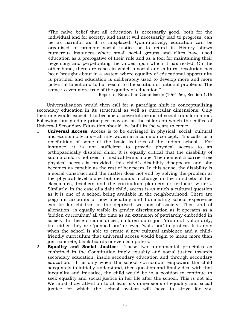"The naïve belief that all education is necessarily good, both for the individual and for society, and that it will necessarily lead to progress, can be as harmful as it is misplaced. Quantitatively, education can be organised to promote social justice or to retard it. History shows numerous instances where small social groups and elites have used education as a prerogative of their rule and as a tool for maintaining their hegemony and perpetuating the values upon which it has rested. On the other hand, there are cases in which a social and cultural revolution has been brought about in a system where equality of educational opportunity is provided and education is deliberately used to develop more and more potential talent and to harness it to the solution of national problems. The same is even more true of the quality of education."

- Report of Education Commission (1964-66), Section 1.16

 Universalisation would then call for a paradigm shift in conceptualising secondary education in its structural as well as curricular dimensions. Only then one would expect it to become a powerful means of social transformation. Following four guiding principles may act as the pillars on which the edifice of Universal Secondary Education should be built in the years to come:

- 1. **Universal Access**: Access is to be envisaged in physical, social, cultural and economic terms – all interwoven in a common concept. This calls for a redefinition of some of the basic features of the Indian school. For instance, it is not sufficient to provide physical access to an orthopaedically disabled child. It is equally critical that the disability of such a child is not seen in medical terms alone. The moment a barrier-free physical access is provided, this child's disability disappears and she becomes as capable as the rest of her peers. In this sense, the disability is a social construct and the matter does not end by solving the problem at the physical level alone but demands a change in the mindsets of her classmates, teachers and the curriculum planners or textbook writers. Similarly, in the case of a dalit child, access is as much a cultural question as it is one of a school being available in the neighbourhood. There are poignant accounts of how alienating and humiliating school experience can be for children of the deprived sections of society. This kind of alienation is equally visible in gender discrimination as it operates as a 'hidden curriculum' all the time as an extension of patriarchy embedded in society. In these circumstances, children don't just 'drop out' voluntarily, but either they are 'pushed out' or even 'walk out' in protest. It is only when the school is able to create a new cultural ambience and a childfriendly curriculum that universal access would begin to mean more than just concrete, black boards or even computers.
- 2. **Equality and Social Justice**: These two fundamental principles as enshrined in the Constitution imply equality and social justice towards secondary education, inside secondary education and through secondary education. It is only when the school curriculum empowers the child adequately to initially understand, then question and finally deal with that inequality and injustice, the child would be in a position to continue to seek equality and social justice in her life after the school. This is not all. We must draw attention to at least six dimensions of equality and social justice for which the school system will have to strive for viz.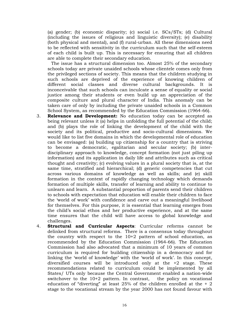(a) gender; (b) economic disparity; (c) social i.e. SCs/STs; (d) Cultural (including the issues of religious and linguistic diversity); (e) disability (both physical and mental), and (f) rural-urban. All these dimensions need to be reflected with sensitivity in the curriculum such that the self-esteem of each child is built up. This is necessary for ensuring that all children are able to complete their secondary education.

 The issue has a structural dimension too. Almost 25% of the secondary schools today are private unaided schools whose clientele comes only from the privileged sections of society. This means that the children studying in such schools are deprived of the experience of knowing children of different social classes and diverse cultural backgrounds. It is inconceivable that such schools can inculcate a sense of equality or social justice among their students or even build up an appreciation of the composite culture and plural character of India. This anomaly can be taken care of only by including the private unaided schools in a Common School System, as recommended by the Education Commission (1964-66).

- 3. **Relevance and Development:** No education today can be accepted as being relevant unless it (a) helps in unfolding the full potential of the child; and (b) plays the role of linking the development of the child with the society and its political, productive and socio-cultural dimensions. We would like to list five domains in which the developmental role of education can be envisaged: (a) building up citizenship for a country that is striving to become a democratic, egalitarian and secular society; (b) interdisciplinary approach to knowledge, concept formation (not just piling up information) and its application in daily life and attributes such as critical thought and creativity; (c) evolving values in a plural society that is, at the same time, stratified and hierarchical; (d) generic competencies that cut across various domains of knowledge as well as skills; and (e) skill formation in the context of rapidly changing technology which demands formation of multiple skills, transfer of learning and ability to continue to unlearn and learn. A substantial proportion of parents send their children to schools with expectation that education will enable their children to face the 'world of work' with confidence and carve out a meaningful livelihood for themselves. For this purpose, it is essential that learning emerges from the child's social ethos and her productive experience, and at the same time ensures that the child will have access to global knowledge and challenges.
- 4. **Structural and Curricular Aspects**: Curricular reforms cannot be delinked from structural reforms. There is a consensus today throughout the country with respect to the 10+2 pattern of school education, as recommended by the Education Commission (1964-66). The Education Commission had also advocated that a minimum of 10 years of common curriculum is required for building citizenship in a democracy and for linking the 'world of knowledge' with the 'world of work'. In this concept, diversified courses will be introduced only at the +2 stage. These recommendations related to curriculum could be implemented by all States/ UTs only because the Central Government enabled a nation-wide switchover to the 10+2 pattern. In contrast, the policy on vocational education of "diverting" at least  $25%$  of the children enrolled at the  $+2$ stage to the vocational stream by the year 2000 has not found favour with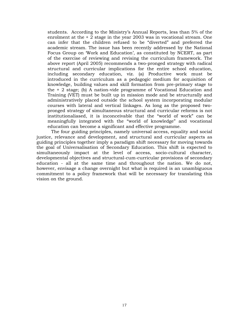students. According to the Ministry's Annual Reports, less than 5% of the enrolment at the + 2 stage in the year 2003 was in vocational stream. One can infer that the children refused to be "diverted" and preferred the academic stream. The issue has been recently addressed by the National Focus Group on 'Work and Education', as constituted by NCERT, as part of the exercise of reviewing and revising the curriculum framework. The above report (April 2005) recommends a two-pronged strategy with radical structural and curricular implications for the entire school education, including secondary education, viz. (a) Productive work must be introduced in the curriculum as a pedagogic medium for acquisition of knowledge, building values and skill formation from pre-primary stage to the + 2 stage; (b) A nation-vide programme of Vocational Education and Training (VET) must be built up in mission mode and be structurally and administratively placed outside the school system incorporating modular courses with lateral and vertical linkages. As long as the proposed twopronged strategy of simultaneous structural and curricular reforms is not institutionaliased, it is inconceivable that the "world of work" can be meaningfully integrated with the "world of knowledge" and vocational education can become a significant and effective programme.

The four guiding principles, namely universal access, equality and social justice, relevance and development, and structural and curricular aspects as guiding principles together imply a paradigm shift necessary for moving towards the goal of Universalisation of Secondary Education. This shift is expected to simultaneously impact at the level of access, socio-cultural character, developmental objectives and structural-cum-curricular provisions of secondary education - all at the same time and throughout the nation. We do not, however, envisage a change overnight but what is required is an unambiguous commitment to a policy framework that will be necessary for translating this vision on the ground.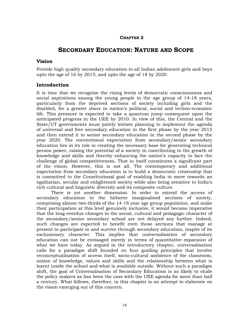## **CHAPTER 2**

# **SECONDARY EDUCATION: NATURE AND SCOPE**

## **Vision**

Provide high quality secondary education to all Indian adolescent girls and boys upto the age of 16 by 2015, and upto the age of 18 by 2020.

## **Introduction**

It is time that we recognise the rising levels of democratic consciousness and social aspirations among the young people in the age group of 14-18 years, particularly from the deprived sections of society including girls and the disabled, for a greater share in nation's political, social and techno-economic life. This pressure is expected to take a quantum jump consequent upon the anticipated progress in the UEE by 2010. In view of this, the Central and the State/UT governments must jointly initiate planning to implement the agenda of universal and free secondary education in the first phase by the year 2015 and then extend it to senior secondary education in the second phase by the year 2020. The conventional expectation from secondary/senior secondary education lies in its role in creating the necessary base for generating technical person power, raising the potential of a society in contributing to the growth of knowledge and skills and thereby enhancing the nation's capacity to face the challenge of global competitiveness. That in itself constitutes a significant part of the vision. However, this is not all. The contemporary and additional expectation from secondary education is to build a democratic citizenship that is committed to the Constitutional goal of enabling India to move towards an egalitarian, secular and enlightened society while also being sensitive to India's rich cultural and linguistic diversity and its composite culture.

There is yet another dimension. In order to extend the access of secondary education to the hitherto marginalised sections of society, comprising almost two-thirds of the 14-18 year age group population, and make their participation at this level genuinely inclusive, it would become imperative that the long-overdue changes in the social, cultural and pedagogic character of the secondary/senior secondary school are not delayed any further. Indeed, such changes are expected to benefit even those sections that manage at present to participate in and survive through secondary education, inspite of its exclusionary character. This implies that universalisation of secondary education can not be envisaged merely in terms of quantitative expansion of what we have today. As argued in the introductory chapter, universalisation calls for a paradigm shift founded on four guiding principles that involve reconceptualisation of access itself, socio-cultural ambience of the classroom, notion of knowledge, values and skills and the relationship between what is learnt inside the school and what is available outside. Without such a paradigm shift, the goal of Universalisation of Secondary Education is as likely to elude the policy makers as has been the case with the UEE agenda for more than half a century. What follows, therefore, in this chapter is an attempt to elaborate on the vision emerging out of this concern.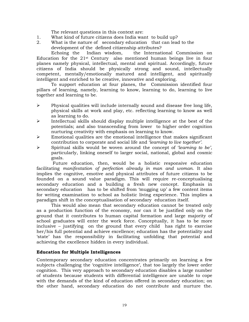The relevant questions in this context are:

- 1. What kind of future citizens does India want to build up?
- 2. What is the nature of secondary education that can lead to the development of the defined citizenship attributes?

Echoing the Indian wisdom, the International Commission on Education for the 21st Century also mentioned human beings live in four planes namely physical, intellectual, mental and spiritual. Accordingly, future citizens of India should be physically strong and sound, intellectually competent, mentally/emotionally matured and intelligent, and spiritually intelligent and enriched to be creative, innovative and exploring.

To support education at four planes, the Commission identified four pillars of learning, namely, learning to know, learning to do, learning to live together and learning to be.

- $\triangleright$  Physical qualities will include internally sound and disease free long life, physical skills at work and play, etc. reflecting learning to know as well as learning to do.
- $\triangleright$  Intellectual skills should display multiple intelligence at the best of the potentials; and also transcending from lower to higher order cognition nurturing creativity with emphasis on learning to know.
- $\triangleright$  Emotional qualities are the emotional intelligence that makes significant contribution to corporate and social life and '*learning to live together'*.
- ¾ Spiritual skills would be woven around the concept of '*learning to be'*, particularly, linking oneself to larger social, national, global and cosmic goals.

 Future education, then, would be a holistic responsive education facilitating *manifestation of perfection already in man and woman*. It also implies the cognitive, emotive and physical attributes of future citizens to be founded on a sound value paradigm. This will require re-conceptualising secondary education and a building a fresh new concept. Emphasis in secondary education has to be shifted from 'mugging up' a few content items for writing examination to school as holistic living experience. This implies a paradigm shift in the conceptualisation of secondary education itself.

This would also mean that secondary education cannot be treated only as a production function of the economy, nor can it be justified only on the ground that it contributes to human capital formation and large majority of school graduates will enter the work force. Conceptually, it has to be more inclusive – justifying on the ground that every child has right to exercise her/his full potential and achieve excellence; education has the potentiality and 'state' has the responsibility in facilitating unfolding that potential and achieving the excellence hidden in every individual.

#### **Education for Multiple Intelligences**

Contemporary secondary education concentrates primarily on learning a few subjects challenging the 'cognitive intelligence', that too largely the lower order cognition. This very approach to secondary education disables a large number of students because students with differential intelligence are unable to cope with the demands of the kind of education offered in secondary education; on the other hand, secondary education do not contribute and nurture the.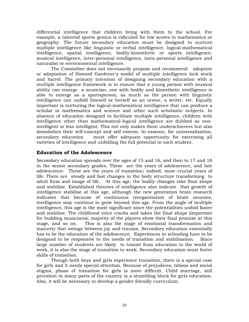differential intelligence that children bring with them to the school. For example, a talented sports genius is ridiculed for low scores in mathematics or geography. The future secondary education must be designed to nurture multiple intelligence like linguistic or verbal intelligence, logical-mathematical intelligence, spatial intelligence, bodily-kinesthetic or sports intelligence, musical intelligence, inter-personal intelligence, intra-personal intelligence and naturalist or environmental intelligence.

The Committee does not necessarily propose and recommend adoption or adaptation of Howard Gardener's model of multiple intelligence lock stock and barrel. The primary intention of designing secondary education with a multiple intelligence framework is to ensure that a young person with musical ability can emerge a musician, one with bodily and kinesthetic intelligence is able to emerge as a sportsperson, as much as the person with linguistic intelligence can unfold himself or herself as an orator, a writer, etc. Equally important is nurturing the logical-mathematical intelligence that can produce a scholar in mathematics and science and other such scholastic subjects. In absence of education designed to facilitate multiple intelligence, children with intelligence other than mathematical-logical intelligence are dubbed as nonintelligent or less intelligent. This not only makes them underachievers but also demolishes their self-concept and self esteem. In essence, for universalisation, secondary education must offer adequate opportunity for exercising all varieties of intelligence and unfolding the full potential in each student.

## **Education of the Adolescence**

Secondary education spreads over the ages of 15 and 16, and then to 17 and 18 in the senior secondary grades. These are the years of adolescence, and late adolescence. These are the years of transition; indeed, most crucial years of life. There are steady and fast changes in the body structure transforming to adult form and image of life. At this age, the bodily changes take final shape and stabilise. Established theories of intelligence also indicate that growth of intelligence stabilise at this age, although the new generation brain research indicates that because of continuous reorganisation of brain neurons, intelligence may continue to grow beyond this age. From the angle of multiple intelligence, this age is the most significant since the potentialities unfold faster and stabilise. The childhood voice cracks and takes the final shape (important for budding musicians); majority of the players show their final promise at this stage, and so on. This is also the stage of emotional transformation and maturity that swings between joy and trauma. Secondary education essentially has to be the education of the adolescence. Experiences in schooling have to be designed to be responsive to the needs of transition and stabilisation. Since large number of students are likely to transit from education to the world of work, it is also the stage of transition to work. Secondary education must foster skills of transition.

Though both boys and girls experience transition, there is a special case for girls and it needs special attention. Because of prejudices, taboos and social stigma, phase of transition for girls is more difficult. Child marriage, still prevalent in many parts of the country is a stumbling block for girls education. Also, it will be necessary to develop a gender friendly curriculum.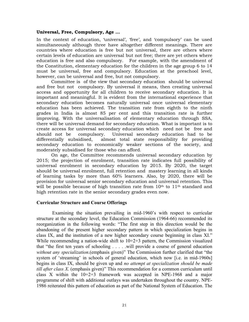#### **Universal, Free, Compulsory, Age …**

In the context of education, 'universal', 'free', and 'compulsory' can be used simultaneously although three have altogether different meanings. There are countries where education is free but not universal, there are others where certain levels of education are universal but not free; there are yet others where education is free and also compulsory. For example, with the amendment of the Constitution, elementary education for the children in the age group 6 to 14 must be universal, free and compulsory. Education at the preschool level, however, can be universal and free, but not compulsory.

Committee is of the view that secondary education should be universal and free but not compulsory. By universal it means, then creating universal access and opportunity for all children to receive secondary education. It is important and meaningful. It is evident from the international experience that secondary education becomes naturally universal once universal elementary education has been achieved. The transition rate from eighth to the ninth grades in India is almost 85 per cent and this transition rate is further improving. With the universalisation of elementary education through SSA, there will be universal demand for secondary education. What is important is to create access for universal secondary education which need not be free and should not be compulsory. Universal secondary education had to be differentially subsidised, almost total state responsibility for providing secondary education to economically weaker sections of the society, and moderately subsidised for those who can afford.

On age, the Committee recommends universal secondary education by 2015; the projection of enrolment, transition rate indicates full possibility of universal enrolment in secondary education by 2015. By 2020, the target should be universal enrolment, full retention and mastery learning in all kinds of learning tasks by more than 60% learners. Also, by 2020, there will be provision for universal senior secondary education and universal retention. This will be possible because of high transition rate from  $10<sup>th</sup>$  to  $11<sup>th</sup>$  standard and high retention rate in the senior secondary grades even now.

#### **Curricular Structure and Course Offerings**

Examining the situation prevailing in mid-1960's with respect to curricular structure at the secondary level, the Education Commission (1964-66) recommended its reorganization in the following words: "The first step in this direction would be the abandoning of the present higher secondary pattern in which specialization begins in class IX, and the institution of a new higher secondary course beginning in class XI." While recommending a nation-wide shift to  $10+2+3$  pattern, the Commission visualized that "the first ten years of schooling . . . . .will provide a course of general education *without any specialization*.(emphasis given)" The Commission further clarified that "the system of 'streaming' in schools of general education, which now [i.e. in mid-1960s] begins in class IX, should be given up and *no attempt at specialization should be made till after class X*. (emphasis given)" This recommendation for a common curriculum until class X within the  $10+2+3$  framework was accepted in NPE-1968 and a major programme of shift with additional outlays was undertaken throughout the country. NPE-1986 reiterated this pattern of education as part of the National System of Education. The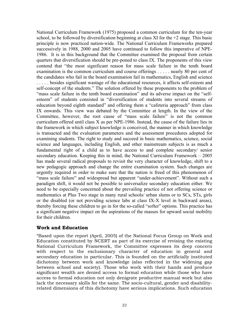National Curriculum Framework (1975) proposed a common curriculum for the ten-year school, to be followed by diversification beginning at class XI for the +2 stage. This basic principle is now practiced nation-wide. The National Curriculum Frameworks prepared successively in 1988, 2000 and 2005 have continued to follow this imperative of NPE-1986. It is in this background that the Committee examined the proposal from certain quarters that diversification should be pre-poned to class IX. The proponents of this view contend that "the most significant reason for mass scale failure in the tenth board examination is the common curriculum and course offerings . . . . . nearly 80 per cent of the candidates who fail in the board examination fail in mathematics, English and science . . . . . besides significant wastage of the educational resources, it affects self-esteem and self-concept of the students." The solution offered by these proponents to the problem of "mass scale failure in the tenth board examination" and its adverse impact on the "selfesteem" of students consisted in "diversification of students into several streams of education beyond eighth standard" and offering them a "cafeteria approach" from class IX onwards. This view was debated by the Committee at length. In the view of the Committee, however, the root cause of "mass scale failure" is not the common curriculum offered until class X as per NPE-1986. Instead, the cause of the failure lies in the framework in which subject knowledge is conceived, the manner in which knowledge is transacted and the evaluation parameters and the assessment procedures adopted for examining students. The right to study and succeed in basic mathematics, science, social science and languages, including English, and other mainstream subjects is as much a fundamental right of a child as to have access to and complete secondary/ senior secondary education. Keeping this in mind, the National Curriculum Framework – 2005 has made several radical proposals to revisit the very character of knowledge, shift to a new pedagogic approach and change the entire examination system. Such changes are urgently required in order to make sure that the nation is freed of this phenomenon of "mass scale failure" and widespread but apparent "under-achievement". Without such a paradigm shift, it would not be possible to universalize secondary education either. We need to be especially concerned about the prevailing practice of not offering science or mathematics at Plus Two stage in many rural schools/ urban slums or to SCs, STs, girls or the disabled (or not providing science labs at class IX-X level in backward areas), thereby forcing these children to go in for the so-called "softer" options. This practice has a significant negative impact on the aspirations of the masses for upward social mobility for their children.

## **Work and Education**

"Based upon the report (April, 2005) of the National Focus Group on Work and Education constituted by NCERT as part of its exercise of revising the existing National Curriculum Framework, the Committee expresses its deep concern with respect to the exclusionary character of education in general and secondary education in particular. This is founded on the artificially instituted dichotomy between work and knowledge (also reflected in the widening gap between school and society). Those who work with their hands and produce significant wealth are denied access to formal education while those who have access to formal education not only denigrate productive manual work but also lack the necessary skills for the same. The socio-cultural, gender and disabilityrelated dimensions of this dichotomy have serious implications. Such education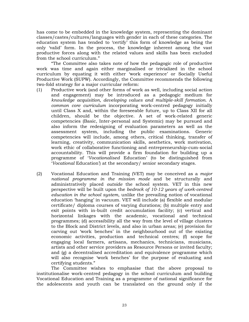has come to be embedded in the knowledge system, representing the dominant classes/castes/cultures/languages with gender in each of these categories. The education system has tended to 'certify' this form of knowledge as being the only 'valid' form. In the process, the knowledge inherent among the vast productive forces along with the related values and skills has been excluded from the school curriculum."

"The Committee also takes note of how the pedagogic role of productive work was time and again either marginalised or trivialized in the school curriculum by equating it with either 'work experience' or Socially Useful Productive Work (SUPW). Accordingly, the Committee recommends the following two-fold strategy for a major curricular reform:

- (1) Productive work (and other forms of work as well, including social action and engagement) may be introduced as a pedagogic medium for *knowledge acquisition, developing values and multiple-skill formation*. A *common core curriculum* incorporating work-centred pedagogy initially until Class X and, within the foreseeable future, up to Class XII for all children, should be the objective. A set of work-related generic competencies (Basic, Inter-personal and Systemic) may be pursued and also inform the redesigning of evaluation parameters as well as the assessment system, including the public examinations. Generic competencies will include, among others, critical thinking, transfer of learning, creativity, communication skills, aesthetics, work motivation, work ethic of collaborative functioning and entrepreneurship-cum-social accountability. This will provide a firm foundation for building up a programme of '*Vocationalised* Education' (to be distinguished from '*Vocational* Education') at the secondary/ senior secondary stages.
- (2) Vocational Education and Training (VET) may be conceived as a *major national programme in the mission mode* and be structurally and administratively placed *outside* the school system. VET in this new perspective will be built upon the *bedrock of 10-12 years of work-centred education in the school system*, unlike the prevailing notion of vocational education 'hanging' in vacuum. VET will include (a) flexible and modular certificate/ diploma courses of varying durations; (b) multiple entry and exit points with in-built credit accumulation facility; (c) vertical and horizontal linkages with the academic, vocational and technical programmes; (d) accessibility all the way from the level of village clusters to the Block and District levels, and also in urban areas; (e) provision for carving out 'work benches' in the neighbourhood out of the existing economic activities, production and technical centres; (f) scope for engaging local farmers, artisans, mechanics, technicians, musicians, artists and other service providers as Resource Persons or invited faculty; and (g) a decentralised accreditation and equivalence programme which will also recognise 'work benches' for the purpose of evaluating and certifying students."

The Committee wishes to emphasise that the above proposal to institutionalise work-centred pedagogy in the school curriculum and building Vocational Education and Training as a programme of national significance for the adolescents and youth can be translated on the ground only if the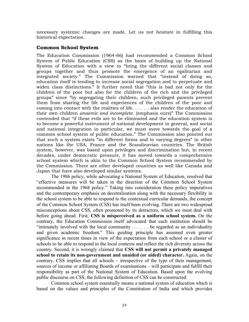necessary systemic changes are made. Let us not hesitate in fulfilling this historical expectation.

## **Common School System**

The Education Commission (1964-66) had recommended a Common School System of Public Education (CSS) as the basis of building up the National System of Education with a view to "bring the different social classes and groups together and thus promote the emergence of an egalitarian and integrated society." The Commission warned that "instead of doing so, education itself is tending to increase social segregation and to perpetuate and widen class distinctions." It further noted that "this is bad not only for the children of the poor but also for the children of the rich and the privileged groups" since "by segregating their children, such privileged parents prevent them from sharing the life and experiences of the children of the poor and coming into contact with the realities of life. . . . . . also render the education of their own children *anaemic and incomplete*. (emphasis ours)" The Commission contended that "if these evils are to be eliminated and the education system is to become a powerful instrument of national development in general, and social and national integration in particular, we must move towards the goal of a common school system of public education." The Commission also pointed out that such a system exists "in different forms and to varying degrees" in other nations like the USA, France and the Scandinavian countries. The British system, however, was based upon privileges and discrimination but, in recent decades, under democratic pressure, it has moved towards a comprehensive school system which is akin to the Common School System recommended by the Commission. There are other developed countries as well like Canada and Japan that have also developed similar systems.

The 1986 policy, while advocating a National System of Education, resolved that "effective measures will be taken in the direction of the Common School System recommended in the 1968 policy." Taking into consideration these policy imperatives and the contemporary emphasis on decetralisation along with the necessary flexibility in the school system to be able to respond to the contextual curricular demands, the concept of the Common School System (CSS) has itself been evolving. There are two widespread misconceptions about CSS, often promoted by its detractors, which we must deal with before going ahead. First, **CSS is misperceived as a uniform school system.** On the contrary, the Education Commission itself advocated that each institution should be "intimately involved with the local community . . . . . . be regarded as an individuality and given academic freedom." This guiding principle has assumed even greater significance in recent times in view of the expectation from each school or a cluster of schools to be able to respond to the local contexts and reflect the rich diversity across the country. Second, it is wrongly claimed that **CSS will not permit a privately managed school to retain its non-government and unaided (or aided) character.** Again, on the contrary, CSS implies that all schools – irrespective of the type of their management, sources of income or affiliating Boards of examinations – will participate and fulfill their responsibility as part of the National System of Education. Based upon the evolving public discourse on CSS, the following definition of CSS can be constructed:

Common school system essentially means a national system of education which is based on the values and principles of the Constitution of India and which provides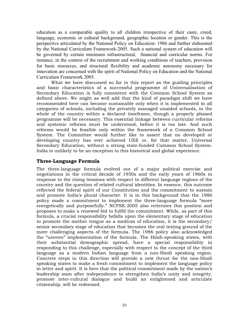education as a comparable quality to all children irrespective of their caste, creed, language, economic or cultural background, geographic location or gender. This is the perspective articulated by the National Policy on Education- 1986 and further elaborated by the National Curriculum Framework-2005. Such a national system of education will be governed by certain minimum infrastructural, financial and curricular norms. For instance, in the context of the recruitment and working conditions of teachers, provision for basic resources, and structural flexibility and academic autonomy necessary for innovation are concerned with the spirit of National Policy on Education and the National Curriculum Framework 2005.

What we have discussed so far in this report as the guiding principles and basic characteristics of a successful programme of Universalisation of Secondary Education is fully consistent with the Common School System as defined above. We might as well add that the kind of paradigm shift we have recommended here can become sustainable only when it is implemented in all categories of schools, including the privately managed unaided schools, in the whole of the country within a declared timeframe, though a properly phased programme will be necessary. This essential linkage between curricular reforms and systemic reforms must be understood, before it is too late. And such reforms would be feasible only within the framework of a Common School System. The Committee would further like to assert that no developed or developing country has ever achieved UEE or, for that matter, Universal Secondary Education, without a strong state-funded Common School System. India is unlikely to be an exception to this historical and global experience.

## **Three-Language Formula**

The three-language formula evolved out of a major political exercise and negotiations in the critical decade of 1950s and the early years of 1960s in response to the rising tensions with respect to different language regions of the country and the question of related cultural identities. In essence, this outcome reflected the federal spirit of our Constitution and the commitment to sustain and promote India's plural character. It is in this background that the 1986 policy made a commitment to implement the three-language formula "more energetically and purposefully." NCFSE-2005 also reiterates this position and proposes to make a renewed bid to fulfill the commitment. While, as part of this formula, a crucial responsibility befalls upon the elementary stage of education to promote the mother tongue as a medium of education, it is the secondary/ senior secondary stage of education that becomes the real testing ground of the more challenging aspects of the formula. The 1986 policy also acknowledged the "uneven" implementation of the formula. The Hindi-speaking states, with their substantial demographic spread, have a special responsibility in responding to this challenge, especially with respect to the concept of the third language as a modern Indian language from a non-Hindi speaking region. Concrete steps in this direction will provide a new thrust for the non-Hindi speaking states to make a fresh commitment to implement the language policy in letter and spirit. It is here that the political commitment made by the nation's leadership soon after independence to strengthen India's unity and integrity, promote inter-cultural dialogue and build an enlightened and articulate citizenship, will be redeemed.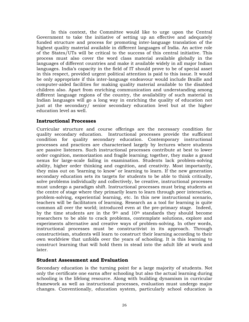In this context, the Committee would like to urge upon the Central Government to take the initiative of setting up an effective and adequately funded structure and process for promoting inter-language translation of the highest quality material available in different languages of India. An active role of the States/UTs will be critical to the success of this central initiative. This process must also cover the word class material available globally in the languages of different countries and make it available widely in all major Indian languages. India's capacity in the field of IT should prove to be of special asset in this respect, provided urgent political attention is paid to this issue. It would be only appropriate if this inter-language endeavour would include Braille and computer-aided facilities for making quality material available to the disabled children also. Apart from enriching communication and understanding among different language regions of the country, the availability of such material in Indian languages will go a long way in enriching the quality of education not just at the secondary/ senior secondary education level but at the higher education level as well.

## **Instructional Processes**

Curricular structure and course offerings are the necessary condition for quality secondary education. Instructional processes provide the sufficient condition for quality secondary education. Contemporary instructional processes and practices are characterised largely by lectures where students are passive listeners. Such instructional processes contribute at best to lower order cognition, memorization and fragile learning; together, they make a grand nexus for large-scale failing in examination. Students lack problem-solving ability, higher order thinking and cognition, and creativity. Most importantly, they miss out on 'learning to know' or learning to learn. If the new generation secondary education sets its targets for students to be able to think critically, solve problems individually and collectively, be creative, instructional processes must undergo a paradigm shift. Instructional processes must bring students at the centre of stage where they primarily learn to learn through peer interaction, problem-solving, experiential learning, etc. In this new instructional scenario, teachers will be facilitators of learning. Research as a tool for learning is quite common all over the world; introduced even at the pre-primary stage. Indeed, by the time students are in the 9<sup>th</sup> and 10<sup>th</sup> standards they should become researchers to be able to crack problems, contemplate solutions, explore and experiments alternative and creative ways of problem-solving. In other words, instructional processes must be constructivist in its approach. Through constructivism, students will learn to construct their learning according to their own worldview that unfolds over the years of schooling. It is this learning to construct learning that will hold them in stead into the adult life at work and later.

## **Student Assessment and Evaluation**

Secondary education is the turning point for a large majority of students. Not only the certificate one earns after schooling but also the actual learning during schooling is the lifelong resource. Along with building dynamism in curricular framework as well as instructional processes, evaluation must undergo major changes. Conventionally, education system, particularly school education is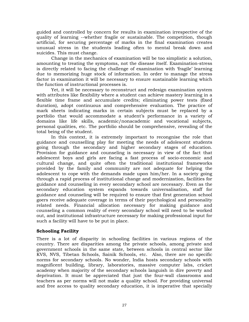guided and controlled by concern for results in examination irrespective of the quality of learning --whether fragile or sustainable. The competition, though artificial, for securing percentage of marks in the final examination creates unusual stress in the students leading often to mental break down and suicides. This must change.

Change in the mechanics of examination will be too simplistic a solution, amounting to treating the symptoms, not the disease itself. Examination-stress is directly related to facing the challenge of examination with 'fragile' learning due to memorizing huge stock of information. In order to manage the stress factor in examination it will be necessary to ensure sustainable learning which the function of instructional processes is.

Yet, it will be necessary to reconstruct and redesign examination system with attributes like flexibility where a student can achieve mastery learning in a flexible time frame and accumulate credits; eliminating power tests (fixed duration), adopt continuous and comprehensive evaluation. The practice of mark sheets indicating marks in certain subjects must be replaced by a portfolio that would accommodate a student's performance in a variety of domains like life skills, academic/nonacademic and vocational subjects, personal qualities, etc. The portfolio should be comprehensive, revealing of the total being of the student.

In this context, it is extremely important to recongnise the role that guidance and counselling play for meeting the needs of adolescent students going through the secondary and higher secondary stages of education. Provision for guidance and counseling is necessary in view of the fact that adolescent boys and girls are facing a fast process of socio-economic and cultural change, and quite often the traditional institutional frameworks provided by the family and community are not adequate for helping the adolescent to cope with the demands made upon him/her. In a society going through a rapid process of institutional change and modernization, facilities for guidance and counseling in every secondary school are necessary. Even as the secondary education system expands towards universalisation, staff for guidance and counseling will be required to ensure that first generation school goers receive adequate coverage in terms of their psychological and personality related needs. Financial allocation necessary for making guidance and counseling a common reality of every secondary school will need to be worked out, and institutional infrastructure necessary for making professional input for such a facility will have to be put in place.

## **Schooling Facility**

There is a lot of disparity in schooling facilities in various regions of the country. There are disparities among the private schools, among private and government schools in the same state, between schools in central sector like KVS, NVS, Tibetan Schools, Sainik Schools, etc. Also, there are no specific norms for secondary schools. No wonder, India hosts secondary schools with magnificent building, library, laboratories, massive computer labs, cricket academy when majority of the secondary schools languish in dire poverty and deprivation. It must be appreciated that just the four-wall classrooms and teachers as per norms will not make a quality school. For providing universal and free access to quality secondary education, it is imperative that specially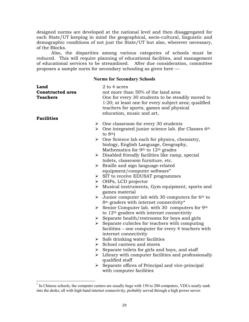designed norms are developed at the national level and then disaggregated for each State/UT keeping in mind the geographical, socio-cultural, linguistic and demographic conditions of not just the State/UT but also, wherever necessary, of the Blocks.

Also, the disparities among various categories of schools must be reduced. This will require planning of educational facilities, and management of educational services to be streamlined. After due consideration, committee proposes a sample norm for secondary schooling as given here —

## **Norms for Secondary Schools**

| Land<br><b>Constructed area</b><br><b>Teachers</b> | 2 to 4 acres<br>not more than 50% of the land area<br>One for every 30 students to be steadily moved to<br>1:20; at least one for every subject area; qualified<br>teachers for sports, games and physical<br>education, music and art, |
|----------------------------------------------------|-----------------------------------------------------------------------------------------------------------------------------------------------------------------------------------------------------------------------------------------|
| <b>Facilities</b>                                  |                                                                                                                                                                                                                                         |
|                                                    | $\triangleright$ One classroom for every 30 students                                                                                                                                                                                    |
|                                                    | $\triangleright$ One integrated junior science lab. (for Classes 6 <sup>th</sup>                                                                                                                                                        |
|                                                    | to $8th$ )                                                                                                                                                                                                                              |
|                                                    | $\triangleright$ One Science lab each for physics, chemistry,                                                                                                                                                                           |
|                                                    | biology, English Language, Geography,                                                                                                                                                                                                   |
|                                                    | Mathematics for 9th to 12th grades                                                                                                                                                                                                      |
|                                                    | $\triangleright$ Disabled friendly facilities like ramp, special                                                                                                                                                                        |
|                                                    | toilets, classroom furniture, etc.                                                                                                                                                                                                      |
|                                                    | $\triangleright$ Braille and sign language-related                                                                                                                                                                                      |
|                                                    | equipment/computer software"                                                                                                                                                                                                            |
|                                                    | $\triangleright$ SIT to receive EDUSAT programmes                                                                                                                                                                                       |
|                                                    | $\triangleright$ OHPs, LCD projector                                                                                                                                                                                                    |
| ➤                                                  | Musical instruments, Gym equipment, sports and<br>games material                                                                                                                                                                        |
|                                                    | $\triangleright$ Junior computer lab with 30 computers for 6 <sup>th</sup> to                                                                                                                                                           |
|                                                    | 8 <sup>th</sup> graders with internet connectivity*                                                                                                                                                                                     |
|                                                    | Senior Computer lab. with 30 computers for $9th$                                                                                                                                                                                        |
|                                                    | to $12th$ graders with internet connectivity                                                                                                                                                                                            |
|                                                    | $\triangleright$ Separate health/restrooms for boys and girls                                                                                                                                                                           |
|                                                    | $\triangleright$ Separate cubicles for teachers with computing                                                                                                                                                                          |
|                                                    | facilities – one computer for every 4 teachers with                                                                                                                                                                                     |
|                                                    | internet connectivity                                                                                                                                                                                                                   |
|                                                    | $\triangleright$ Safe drinking water facilities                                                                                                                                                                                         |
|                                                    | $\triangleright$ School canteen and stores                                                                                                                                                                                              |
|                                                    | $\triangleright$ Separate toilets for girls and boys, and staff                                                                                                                                                                         |
| ➤                                                  | Library with computer facilities and professionally                                                                                                                                                                                     |
|                                                    | qualified staff                                                                                                                                                                                                                         |
|                                                    | $\triangleright$ Separate offices of Principal and vice-principal<br>with computer facilities                                                                                                                                           |

 \* In Chinese schools, the computer centers are usually huge with 150 to 200 computers, VDUs nearly sunk into the desks; all with high band internet connectivity, probably served through a high power server.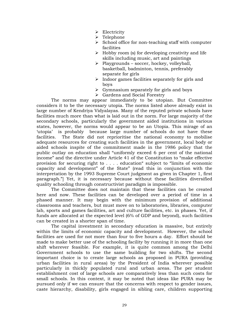- $\triangleright$  Electricity
- ¾ Telephone
- $\triangleright$  School office for non-teaching staff with computer facilities
- $\triangleright$  Hobby room (s) for developing creativity and life skills including music, art and paintings
- $\triangleright$  Playgrounds soccer, hockey, volleyball, basketball, badminton, tennis, preferably separate for girls
- $\triangleright$  Indoor games facilities separately for girls and boys
- $\triangleright$  Gymnasium separately for girls and boys
- ¾ Gardens and Social Forestry

The norms may appear immediately to be utopian. But Committee considers it to be the necessary utopia. The norms listed above already exist in large number of Kendriya Vidyalayas. Many of the reputed private schools have facilities much more than what is laid out in the norm. For large majority of the secondary schools, particularly the government aided institutions in various states, however, the norms would appear to be an Utopia. This mirage of an 'utopia' is probably because large number of schools do not have these facilities. The State did not reprioritise the national economy to mobilise adequate resources for creating such facilities in the government, local body or aided schools inspite of the commitment made in the 1986 policy that the public outlay on education shall "uniformly exceed 6 per cent of the national income" and the directive under Article 41 of the Constitution to "make effective provision for securing right to . . . . education" subject to "limits of economic capacity and development" of the State" (read this in conjunction with the interpretation by the 1993 Supreme Court judgment as given in Chapter 1, first paragraph."] Yet, it is necessary because without these facilities diversified quality schooling through constructivist paradigm is impossible.

The Committee does not maintain that these facilities can be created here and now. These facilities can be developed over a period of time in a phased manner. It may begin with the minimum provision of additional classrooms and teachers, but must move on to laboratories, libraries, computer lab, sports and games facilities, art and culture facilities, etc. in phases. Yet, if funds are allocated at the expected level (6% of GDP and beyond), such facilities can be created in a shorter span of time.

The capital investment in secondary education is massive, but entirely within the limits of economic capacity and development. However, the school facilities are used for not more than four to five hours a day. Effort should be made to make better use of the schooling facility by running it in more than one shift wherever feasible. For example, it is quite common among the Delhi Government schools to use the same building for two shifts. The second important choice is to create large schools as proposed in PURA (providing urban facilities in rural areas) by the President of India wherever possible particularly in thickly populated rural and urban areas. The per student establishment cost of large schools are comparatively less than such costs for small schools. In this context, it may be noted that ideas like PURA may be pursued only if we can ensure that the concerns with respect to gender issues, caste hierarchy, disability, girls engaged in sibling care, children supporting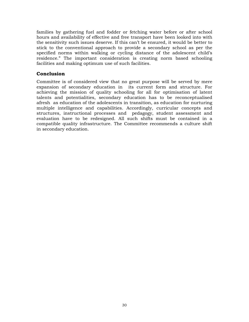families by gathering fuel and fodder or fetching water before or after school hours and availability of effective and free transport have been looked into with the sensitivity such issues deserve. If this can't be ensured, it would be better to stick to the conventional approach to provide a secondary school as per the specified norms within walking or cycling distance of the adolescent child's residence." The important consideration is creating norm based schooling facilities and making optimum use of such facilities.

## **Conclusion**

Committee is of considered view that no great purpose will be served by mere expansion of secondary education in its current form and structure. For achieving the mission of quality schooling for all for optimisation of latent talents and potentialities, secondary education has to be reconceptualised afresh as education of the adolescents in transition, as education for nurturing multiple intelligence and capabilities. Accordingly, curricular concepts and structures, instructional processes and pedagogy, student assessment and evaluation have to be redesigned. All such shifts must be contained in a compatible quality infrastructure. The Committee recommends a culture shift in secondary education.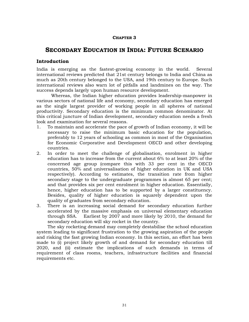## **CHAPTER 3**

# **SECONDARY EDUCATION IN INDIA: FUTURE SCENARIO**

## **Introduction**

India is emerging as the fastest-growing economy in the world. Several international reviews predicted that 21st century belongs to India and China as much as 20th century belonged to the USA, and 19th century to Europe. Such international reviews also warn lot of pitfalls and landmines on the way. The success depends largely upon human resource development.

Whereas, the Indian higher education provides leadership-manpower in various sectors of national life and economy, secondary education has emerged as the single largest provider of working people in all spheres of national productivity. Secondary education is the minimum common denominator. At this critical juncture of Indian development, secondary education needs a fresh look and examination for several reasons.

- 1. To maintain and accelerate the pace of growth of Indian economy, it will be necessary to raise the minimum basic education for the population, preferably to 12 years of schooling as common in most of the Organisation for Economic Corporative and Development OECD and other developing countries.
- 2. In order to meet the challenge of globalisation, enrolment in higher education has to increase from the current about 6% to at least 20% of the concerned age group (compare this with 33 per cent in the OECD countries, 50% and universalisation of higher education in UK and USA respectively). According to estimates, the transition rate from higher secondary stage to the undergraduate programmes is almost 65 per cent; and that provides six per cent enrolment in higher education. Essentially, hence, higher education has to be supported by a larger constituency. Besides, quality of higher education is squarely dependent upon the quality of graduates from secondary education.
- 3. There is an increasing social demand for secondary education further accelerated by the massive emphasis on universal elementary education through SSA. Earliest by 2007 and more likely by 2010, the demand for secondary education will sky rocket in the country.

The sky rocketing demand may completely destabilise the school education system leading to significant frustration to the growing aspiration of the people and risking the fast growing Indian economy. In this section, an effort has been made to (i) project likely growth of and demand for secondary education till 2020, and (ii) estimate the implications of such demands in terms of requirement of class rooms, teachers, infrastructure facilities and financial requirements etc.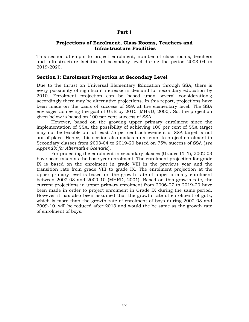## **Part I**

## **Projections of Enrolment, Class Rooms, Teachers and Infrastructure Facilities**

This section attempts to project enrolment, number of class rooms, teachers and infrastructure facilities at secondary level during the period 2003-04 to 2019-2020.

## **Section I: Enrolment Projection at Secondary Level**

Due to the thrust on Universal Elementary Education through SSA, there is every possibility of significant increase in demand for secondary education by 2010. Enrolment projection can be based upon several considerations; accordingly there may be alternative projections. In this report, projections have been made on the basis of success of SSA at the elementary level. The SSA envisages achieving the goal of UEE by 2010 (MHRD, 2000). So, the projection given below is based on 100 per cent success of SSA.

However, based on the growing upper primary enrolment since the implementation of SSA, the possibility of achieving 100 per cent of SSA target may not be feasible but at least 75 per cent achievement of SSA target is not out of place. Hence, this section also makes an attempt to project enrolment in Secondary classes from 2003-04 to 2019-20 based on 75% success of SSA (*see Appendix for Alternative Scenario*).

For projecting the enrolment in secondary classes (Grades IX-X), 2002-03 have been taken as the base year enrolment. The enrolment projection for grade IX is based on the enrolment in grade VIII in the previous year and the transition rate from grade VIII to grade IX. The enrolment projection at the upper primary level is based on the growth rate of upper primary enrolment between 2002-03 and 2009-10 (MHRD, 2001). Based on this growth rate, the current projections in upper primary enrolment from 2006-07 to 2019-20 have been made in order to project enrolment in Grade IX during the same period. However it has also been assumed that the growth rate of enrolment of girls, which is more than the growth rate of enrolment of boys during 2002-03 and 2009-10, will be reduced after 2013 and would the be same as the growth rate of enrolment of boys.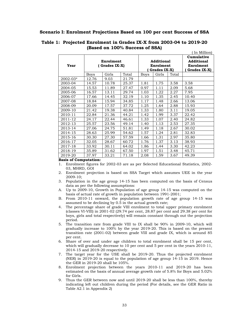#### **Scenario I: Enrolment Projections Based on 100 per cent Success of SSA**

|          |                            |       |       |                                         |       |       | III MIIIIOIII                                                |
|----------|----------------------------|-------|-------|-----------------------------------------|-------|-------|--------------------------------------------------------------|
| Year     | Enrolment<br>(Grades IX-X) |       |       | Additional<br>Enrolment<br>Grades IX-X) |       |       | Cumulative<br><b>Additional</b><br>Enrolment<br>Grades IX-X) |
|          | Boys                       | Girls | Total | <b>Boys</b>                             | Girls | Total |                                                              |
| 2002-03* | 12.76                      | 9.03  | 21.79 |                                         |       |       |                                                              |
| 2003-04  | 14.57                      | 10.78 | 25.37 | 1.81                                    | 1.75  | 3.58  | 3.58                                                         |
| 2004-05  | 15.53                      | 11.89 | 27.47 | 0.97                                    | 1.11  | 2.09  | 5.68                                                         |
| 2005-06  | 16.57                      | 13.11 | 29.74 | 1.03                                    | 1.22  | 2.27  | 7.95                                                         |
| 2006-07  | 17.66                      | 14.45 | 32.19 | 1.10                                    | 1.35  | 2.45  | 10.40                                                        |
| 2007-08  | 18.84                      | 15.94 | 34.85 | 1.17                                    | 1.48  | 2.66  | 13.06                                                        |
| 2008-09  | 20.09                      | 17.57 | 37.72 | 1.25                                    | 1.64  | 2.88  | 15.93                                                        |
| 2009-10  | 21.42                      | 19.38 | 40.84 | 1.33                                    | 1.80  | 3.11  | 19.05                                                        |
| 2010-11  | 22.84                      | 21.36 | 44.21 | 1.42                                    | 1.99  | 3.37  | 22.42                                                        |
| 2011-12  | 24.17                      | 22.44 | 46.61 | 1.33                                    | 1.07  | 2.40  | 24.82                                                        |
| 2012-13  | 25.57                      | 23.56 | 49.14 | 1.40                                    | 1.13  | 2.53  | 27.35                                                        |
| 2013-14  | 27.06                      | 24.75 | 51.81 | 1.49                                    | 1.18  | 2.67  | 30.02                                                        |
| 2014-15  | 28.63                      | 25.99 | 54.62 | 1.57                                    | 1.24  | 2.81  | 32.83                                                        |
| 2015-16  | 30.30                      | 27.30 | 57.59 | 1.66                                    | 1.31  | 2.97  | 35.80                                                        |
| 2016-17  | 32.05                      | 28.67 | 60.72 | 1.76                                    | 1.37  | 3.13  | 38.93                                                        |
| 2017-18  | 33.92                      | 30.11 | 64.02 | 1.86                                    | 1.44  | 3.30  | 42.23                                                        |
| 2018-19  | 35.89                      | 31.62 | 67.50 | 1.97                                    | 1.51  | 3.48  | 45.71                                                        |
| 2019-20  | 37.97                      | 33.21 | 71.18 | 2.08                                    | 1.59  | 3.67  | 49.39                                                        |

#### **Table 1: Projected Enrolment in Grades IX-X from 2003-04 to 2019-20 (Based on 100% Success of SSA)**  $(T_{\text{on}} \text{MLH})$

#### **Basis of Computation:**

- 1. Enrolment figures for 2002-03 are as per Selected Educational Statistics, 2002- 03, MHRD, GOI
- 2. Enrolment projection is based on SSA Target which assumes UEE in the year 2009-10;
- 3. Population in the age group 14-15 has been computed on the basis of Census data as per the following assumptions:
- A. Up to 2009-10, Growth in Population of age group 14-15 was computed on the basis of actual rate of growth in population between 1991-2001;
- B. From 2010-11 onward, the population growth rate of age group 14-15 was assumed to be declining by 0.5 in the actual growth rate;
- 4. The percentage share of grade VIII enrolment to total upper primary enrolment (classes VI-VIII) in 2001-02 (29.74 per cent, 28.87 per cent and 29.38 per cent for boys, girls and total respectively) will remain constant through out the projection period.
- 5. The transition rate from grade VIII to IX shall be 90% in 2009-10, which will gradually increase to 100% by the year 2019-20. This is based on the present transition rate (2001-02) between grade VIII and grade IX, which is around 85 per cent.
- 6. Share of over and under age children to total enrolment shall be 15 per cent, which will gradually decrease to 10 per cent and 5 per cent in the years 2010-11, 2014-15 and 2019-20 respectively.
- 7. The target year for the USE shall be 2019-20. Thus the projected enrolment (NER) in 2019-20 is equal to the population of age group 14-15 in 2019. Hence the GER in 2019-20 shall be 105%.
- 8. Enrolment projection between the years 2010-11 and 2019-20 has been estimated on the basis of annual average growth rate of 5.8% for Boys and 5.02% for Girls.
- 9. Thus the GER between now and until 2019-20 shall be less than 100%, thereby indicating left out children during the period (For details, see the GER Ratio in Table A2.1 in Appendix 2)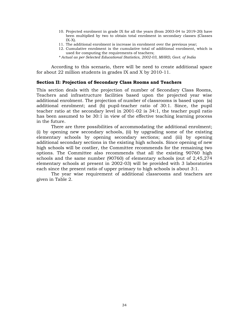- 10. Projected enrolment in grade IX for all the years (from 2003-04 to 2019-20) have been multiplied by two to obtain total enrolment in secondary classes (Classes  $IX-X$ ).
- 11. The additional enrolment is increase in enrolment over the previous year;
- 12. Cumulative enrolment is the cumulative total of additional enrolment, which is used for computing the requirements of teachers;
- *\* Actual as per Selected Educational Statistics, 2002-03, MHRD, Govt. of India*

 According to this scenario, there will be need to create additional space for about 22 million students in grades IX and X by 2010-11.

## **Section II: Projection of Secondary Class Rooms and Teachers**

This section deals with the projection of number of Secondary Class Rooms, Teachers and infrastructure facilities based upon the projected year wise additional enrolment. The projection of number of classrooms is based upon (a) additional enrolment; and (b) pupil-teacher ratio of 30:1. Since, the pupil teacher ratio at the secondary level in 2001-02 is 34:1, the teacher pupil ratio has been assumed to be 30:1 in view of the effective teaching learning process in the future.

There are three possibilities of accommodating the additional enrolment; (i) by opening new secondary schools, (ii) by upgrading some of the existing elementary schools by opening secondary sections; and (iii) by opening additional secondary sections in the existing high schools. Since opening of new high schools will be costlier, the Committee recommends for the remaining two options. The Committee also recommends that all the existing 90760 high schools and the same number (90760) of elementary schools (out of 2,45,274 elementary schools at present in 2002-03) will be provided with 3 laboratories each since the present ratio of upper primary to high schools is about 3:1.

The year wise requirement of additional classrooms and teachers are given in Table 2.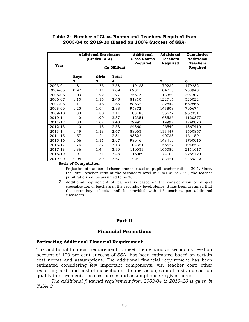## **Table 2: Number of Class Rooms and Teachers Required from 2003-04 to 2019-20 (Based on 100% Success of SSA)**

| Year    | <b>Additional Enrolment</b><br>(Grades IX-X)<br>(In Million) |       |       | <b>Additional</b><br><b>Class Rooms</b><br>Required | <b>Additional</b><br><b>Teachers</b><br>Required | Cumulative<br><b>Additional</b><br><b>Teachers</b><br>Required |
|---------|--------------------------------------------------------------|-------|-------|-----------------------------------------------------|--------------------------------------------------|----------------------------------------------------------------|
|         | <b>Boys</b>                                                  | Girls | Total |                                                     |                                                  |                                                                |
| 1       | $\mathbf{2}$                                                 | 3     | 4     |                                                     | 5                                                | 6                                                              |
| 2003-04 | 1.81                                                         | 1.75  | 3.58  | 119488                                              | 179232                                           | 179232                                                         |
| 2004-05 | 0.97                                                         | 1.11  | 2.09  | 69811                                               | 104716                                           | 283948                                                         |
| 2005-06 | 1.03                                                         | 1.22  | 2.27  | 75573                                               | 113359                                           | 397307                                                         |
| 2006-07 | 1.10                                                         | 1.35  | 2.45  | 81810                                               | 122715                                           | 520022                                                         |
| 2007-08 | 1.17                                                         | 1.48  | 2.66  | 88562                                               | 132844                                           | 652866                                                         |
| 2008-09 | 1.25                                                         | 1.64  | 2.88  | 95872                                               | 143808                                           | 796674                                                         |
| 2009-10 | 1.33                                                         | 1.80  | 3.11  | 103785                                              | 155677                                           | 952351                                                         |
| 2010-11 | 1.42                                                         | 1.99  | 3.37  | 112351                                              | 168526                                           | 1120877                                                        |
| 2011-12 | 1.33                                                         | 1.07  | 2.40  | 79995                                               | 119992                                           | 1240870                                                        |
| 2012-13 | 1.40                                                         | 1.13  | 2.53  | 84360                                               | 126540                                           | 1367410                                                        |
| 2013-14 | 1.49                                                         | 1.18  | 2.67  | 88965                                               | 133447                                           | 1500857                                                        |
| 2014-15 | 1.57                                                         | 1.24  | 2.81  | 93822                                               | 140733                                           | 1641591                                                        |
| 2015-16 | 1.66                                                         | 1.31  | 2.97  | 98946                                               | 148419                                           | 1790010                                                        |
| 2016-17 | 1.76                                                         | 1.37  | 3.13  | 104351                                              | 156527                                           | 1946537                                                        |
| 2017-18 | 1.86                                                         | 1.44  | 3.30  | 110053                                              | 165080                                           | 2111617                                                        |
| 2018-19 | 1.97                                                         | 1.51  | 3.48  | 116069                                              | 174103                                           | 2285720                                                        |
| 2019-20 | 2.08                                                         | 1.59  | 3.67  | 122414                                              | 183621                                           | 2469342                                                        |

#### **Basis of Computation:**

- 1. Projection of number of classrooms is based on pupil-teacher ratio of 30:1. Since, the Pupil teacher ratio at the secondary level in 2001-02 is 34:1, the teacher pupil ratio shall be assumed to be 30:1.
- 2. Additional requirement of teachers is based on the consideration of subject specialisation of teachers at the secondary level. Hence, it has been assumed that the secondary schools shall be provided with 1.5 teachers per additional classroom

#### **Part II**

#### **Financial Projections**

#### **Estimating Additional Financial Requirement**

The additional financial requirement to meet the demand at secondary level on account of 100 per cent success of SSA, has been estimated based on certain cost norms and assumptions. The additional financial requirement has been estimated considering few important components, viz, teacher cost; other recurring cost; and cost of inspection and supervision, capital cost and cost on quality improvement. The cost norms and assumptions are given here:

*The additional financial requirement from 2003-04 to 2019–20 is given in Table 3.*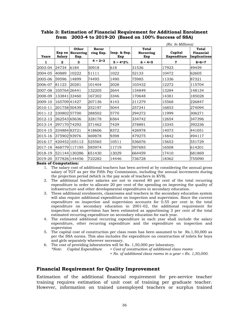|              | (Rs. In Millions)       |                            |                    |                     |                           |                        |                                           |
|--------------|-------------------------|----------------------------|--------------------|---------------------|---------------------------|------------------------|-------------------------------------------|
| <b>Years</b> | Exp on<br><b>Salary</b> | Other<br>Recurring<br>Exp. | Recur<br>ring Exp. | Insp. & Sup.<br>Exp | Total<br>Recurring<br>Exp | Capital<br>Expenditure | <b>Total</b><br>Financial<br>Implications |
| 1            | $\mathbf{2}$            | 3                          | $4 = 2 + 3$        | $5 = 4*2%$          | $6 = 4+5$                 | 7                      | $8 = 6 + 7$                               |
| 2003-04      | 24734                   | 6184                       | 30918              | 618                 | 31536                     | 17923                  | 49459                                     |
| 2004-05      | 40889                   | 10222                      | 51111              | 1022                | 52133                     | 10472                  | 62605                                     |
| 2005-06      | 59596                   | 14899                      | 74495              | 1490                | 75985                     | 11336                  | 87321                                     |
| 2006-07      | 81123                   | 20281                      | 101404             | 2028                | 103432                    | 12272                  | 115704                                    |
| 2007-08      | 105764 26441            |                            | 132205             | 2644                | 134849                    | 13284                  | 148134                                    |
| 2008-09      | 13384133460             |                            | 167302             | 3346                | 170648                    | 14381                  | 185028                                    |
| 2009-10      | 165709 41427            |                            | 207136             | 4143                | 211279                    | 15568                  | 226847                                    |
| 2010-11      | 201758 50439            |                            | 252197             | 5044                | 257241                    | 16853                  | 274094                                    |
| 2011-12      | 230802 57700            |                            | 288502             | 5770                | 294272                    | 11999                  | 306271                                    |
| 2012-13      | 262543 65636            |                            | 328178             | 6564                | 334742                    | 12654                  | 347396                                    |
| 2013-14      | 297170 74292            |                            | 371462             | 7429                | 378891                    | 13345                  | 392236                                    |
| 2014-15      | 33488483721             |                            | 418606             | 8372                | 426978                    | 14073                  | 441051                                    |
| 2015-16      | 375902 93976            |                            | 469878             | 9398                | 479275                    | 14842                  | 494117                                    |
| 2016-17      |                         | 420452 105113              | 525565             | 10511               | 536076                    | 15653                  | 551729                                    |
| 2017-18      |                         | 468779 117195              | 585974             | 11719               | 597693                    | 16508                  | 614201                                    |
| 2018-19      |                         | 521144 130286              | 651430             | 13029               | 664459                    | 17410                  | 681869                                    |
| 2019-20      |                         | 577826 144456              | 722282             | 14446               | 736728                    | 18362                  | 755090                                    |

**Table 3: Estimation of Financial Requirement for Additional Enrolment from 2003-4 to 2019-20 (Based on 100% Success of SSA)** 

**Basis of Computation:** 

- 1. The salary cost of additional teachers has been arrived at by considering the annual gross salary of TGT as per the Fifth Pay Commission, including the annual increments during the projection period (which is the pay scale of teachers in KVS).
- 2. The additional teacher salaries are not to exceed 80 per cent of the total recurring expenditure in order to allocate 20 per cent of the spending on improving the quality of infrastructure and other developmental expenditures in secondary education.
- 3. These additional enrolments, classrooms and teachers in the secondary education system will also require additional expenditure on inspection and supervision. Since the current expenditure on inspection and supervision accounts for 0.55 per cent in the total expenditure on secondary education in 2001-02, the additional requirement for inspection and supervision has been estimated as apportioning 2 per cent of the total estimated recurring expenditure on secondary education for each year.
- 4. The estimated additional recurring expenditure in each year shall include the salary expenditure, other recurring expenditure and the expenditure on inspection and supervision
- 5. The capital cost of construction per class room has been assumed to be Rs.1,50,000 as per the SSA norms. This also includes the expenditure on construction of toilets for boys and girls separately wherever necessary.
- 6. The cost of providing laboratories will be Rs. 1,50,000 per laboratory. *\*Note: Capital Expenditure = Cost of construction of additional class rooms*

 *= No. of additional class rooms in a year* × *Rs. 1,50,000*.

## **Financial Requirement for Quality Improvement**

Estimation of the additional financial requirement for pre-service teacher training requires estimation of unit cost of training per graduate teacher. However, information on trained unemployed teachers or surplus trained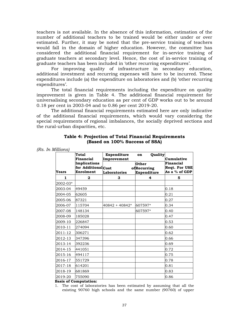teachers is not available. In the absence of this information, estimation of the number of additional teachers to be trained would be either under or over estimated. Further, it may be noted that the pre-service training of teachers would fall in the domain of higher education. However, the committee has considered the additional financial requirement for in-service training of graduate teachers at secondary level. Hence, the cost of in-service training of graduate teachers has been included in 'other recurring expenditures'.

 For improving quality of infrastructure in secondary education, additional investment and recurring expenses will have to be incurred. These expenditures include (a) the expenditure on laboratories and (b) 'other recurring expenditures'.

The total financial requirements including the expenditure on quality improvement is given in Table 4. The additional financial requirement for universalising secondary education as per cent of GDP works out to be around 0.18 per cent in 2003-04 and to 0.86 per cent 2019-20.

The additional financial requirements estimated here are only indicative of the additional financial requirements, which would vary considering the special requirements of regional imbalances, the socially deprived sections and the rural-urban disparities, etc.

|          | <b>Total</b><br>Financial                       | Expenditure<br>Improvement | Quality<br>on                              | Cumulative                                    |
|----------|-------------------------------------------------|----------------------------|--------------------------------------------|-----------------------------------------------|
| Years    | Implications<br>for AdditionalCost<br>Enrolment | Laboratories               | Other<br>ofRecurring<br><b>Expenditure</b> | Financial<br>Reqt. For USE<br>As a $%$ of GDP |
| 1        | $\mathbf{2}$                                    | 3                          | 4                                          | 5                                             |
| 2002-03* |                                                 |                            |                                            |                                               |
| 2003-04  | 49459                                           |                            |                                            | 0.18                                          |
| 2004-05  | 62605                                           |                            |                                            | 0.21                                          |
| 2005-06  | 87321                                           |                            |                                            | 0.27                                          |
| 2006-07  | 115704                                          | $40842 + 40842*$           | 607597*                                    | 0.34                                          |
| 2007-08  | 148134                                          |                            | 607597*                                    | 0.40                                          |
| 2008-09  | 185028                                          |                            |                                            | 0.47                                          |
| 2009-10  | 226847                                          |                            |                                            | 0.53                                          |
| 2010-11  | 274094                                          |                            |                                            | 0.60                                          |
| 2011-12  | 306271                                          |                            |                                            | 0.62                                          |
| 2012-13  | 347396                                          |                            |                                            | 0.66                                          |
| 2013-14  | 392236                                          |                            |                                            | 0.69                                          |
| 2014-15  | 441051                                          |                            |                                            | 0.72                                          |
| 2015-16  | 494117                                          |                            |                                            | 0.75                                          |
| 2016-17  | 551729                                          |                            |                                            | 0.78                                          |
| 2017-18  | 614201                                          |                            |                                            | 0.81                                          |
| 2018-19  | 681869                                          |                            |                                            | 0.83                                          |
| 2019-20  | 755090                                          |                            |                                            | 0.86                                          |

## **Table 4: Projection of Total Financial Requirements (Based on 100% Success of SSA)**

*(Rs. In Millions)* 

**Basis of Computation:** 

1. The cost of laboratories has been estimated by assuming that all the existing 90760 high schools and the same number (90760) of upper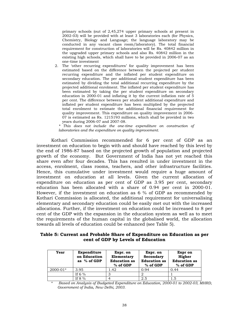primary schools (out of 2,45,274 upper primary schools at present in 2002-03) will be provided with at least 3 laboratories each (for Physics, Chemistry, Biology and Language; the language laboratory may be conducted in any vacant class room/laboratory). The total financial requirement for construction of laboratories will be Rs. 40842 million in the upgraded upper primary schools and also Rs. 40842 million in the existing high schools, which shall have to be provided in 2006-07 as an one-time investment

2. The 'other recurring expenditures' for quality improvement has been estimated based on the difference between the projected per student recurring expenditure and the inflated per student expenditure on secondary education. The per additional student expenditure has been estimated by dividing the total additional recurring expenditure by the projected additional enrolment. The inflated per student expenditure has been estimated by taking the per student expenditure on secondary education in 2000-01 and inflating it by the current inflation rate of 5 per cent. The difference between per student additional expenditure and inflated per student expenditure has been multiplied by the projected total enrolment to estimate the additional financial requirement for quality improvement. This expenditure on quality improvement in 2006- 07 is estimated as Rs. 1215193 millions, which shall be provided in two years during 2006-07 and 2007-08.

*\* This does not include the one-time expenditure on construction of laboratories and the expenditure on quality improvement.* 

Kothari Commission recommended for 6 per cent of GDP as an investment on education to begin with and should have reached by this level by the end of 1986-87 based on the projected growth of population and projected growth of the economy. But Government of India has not yet reached this share even after four decades. This has resulted in under investment in the access, enrolment, class rooms, teachers, and other infrastructure facilities. Hence, this cumulative under investment would require a huge amount of investment on education at all levels. Given the current allocation of expenditure on education as per cent of GDP as 3.95 per cent, secondary education has been allocated with a share of 0.94 per cent in 2000-01. However, if the investment on education as 6 % of GDP as recommended by Kothari Commission is allocated, the additional requirement for universalising elementary and secondary education could be easily met out with the increased allocations. Further, if the investment on education could be increased to 8 per cent of the GDP with the expansion in the education system as well as to meet the requirements of the human capital in the globalised world, the allocation towards all levels of education could be enhanced (see Table 5).

#### **Table 5: Current and Probable Share of Expenditure on Education as per cent of GDP by Levels of Education**

| Year         | Expenditure<br>on Education<br>as $%$ of GDP | Expr. on<br>Elementary<br><b>Education</b> as<br>$%$ of GDP | Expr. on<br>Secondary<br><b>Education</b> as<br>$%$ of GDP | Expr on<br>Higher<br><b>Education</b> as<br>% of GDP |
|--------------|----------------------------------------------|-------------------------------------------------------------|------------------------------------------------------------|------------------------------------------------------|
| $2000 - 01*$ | 3.95                                         | 1.42                                                        | 0.94                                                       | 0.44                                                 |
|              | If 6 $%$                                     |                                                             |                                                            |                                                      |
|              | If $8\%$                                     |                                                             | 2.5                                                        |                                                      |

\* *Based on Analysis of Budgeted Expenditure on Education, 2000-01 to 2002-03, MHRD, Government of India, New Delhi, 2003.*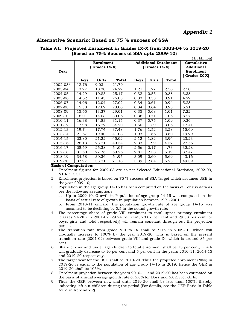## **Alternative Scenario: Based on 75 % success of SSA**

#### **Table A1: Projected Enrolment in Grades IX-X from 2003-04 to 2019-20 (Based on 75% Success of SSA upto 2009-10)**   $\ell \neq 0$  Million)

|              |               |           |       |               |                             |       | In Million        |
|--------------|---------------|-----------|-------|---------------|-----------------------------|-------|-------------------|
|              |               | Enrolment |       |               | <b>Additional Enrolment</b> |       | Cumulative        |
|              | (Grades IX-X) |           |       | (Grades IX-X) |                             |       | <b>Additional</b> |
| Year         |               |           |       |               |                             |       | Enrolment         |
|              |               |           |       |               |                             |       | Grades IX-X)      |
|              | <b>Boys</b>   | Girls     | Total | <b>Boys</b>   | Girls                       | Total |                   |
| $2002 - 03*$ | 12.76         | 9.03      | 21.79 |               |                             |       |                   |
| 2003-04      | 13.97         | 10.30     | 24.29 | 1.21          | 1.27                        | 2.50  | 2.50              |
| 2004-05      | 14.29         | 10.85     | 25.17 | 0.32          | 0.55                        | 0.88  | 3.38              |
| 2005-06      | 14.62         | 11.43     | 26.08 | 0.33          | 0.58                        | 0.91  | 4.29              |
| 2006-07      | 14.96         | 12.04     | 27.02 | 0.34          | 0.61                        | 0.94  | 5.23              |
| 2007-08      | 15.30         | 12.69     | 28.00 | 0.34          | 0.64                        | 0.98  | 6.21              |
| 2008-09      | 15.65         | 13.37     | 29.01 | 0.35          | 0.68                        | 1.01  | 7.22              |
| 2009-10      | 16.01         | 14.08     | 30.06 | 0.36          | 0.71                        | 1.05  | 8.27              |
| 2010-11      | 16.38         | 14.83     | 31.15 | 0.37          | 0.75                        | 1.09  | 9.36              |
| 2011-12      | 17.98         | 16.22     | 34.20 | 1.60          | 1.39                        | 3.05  | 12.41             |
| 2012-13      | 19.74         | 17.74     | 37.48 | 1.76          | 1.52                        | 3.28  | 15.69             |
| 2013-14      | 21.67         | 19.40     | 41.08 | 1.93          | 1.66                        | 3.60  | 19.29             |
| 2014-15      | 23.80         | 21.22     | 45.02 | 2.12          | 1.82                        | 3.94  | 23.23             |
| 2015-16      | 26.13         | 23.21     | 49.34 | 2.33          | 1.99                        | 4.32  | 27.55             |
| 2016-17      | 28.69         | 25.38     | 54.07 | 2.56          | 2.17                        | 4.73  | 32.28             |
| 2017-18      | 31.50         | 27.76     | 59.26 | 2.81          | 2.38                        | 5.19  | 37.47             |
| 2018-19      | 34.58         | 30.36     | 64.95 | 3.09          | 2.60                        | 5.69  | 43.16             |
| 2019-20      | 37.97         | 33.21     | 71.18 | 3.39          | 2.84                        | 6.23  | 49.39             |

#### **Basis of Computation:**

- 1. Enrolment figures for 2002-03 are as per Selected Educational Statistics, 2002-03, MHRD, GOI
- 2. Enrolment projection is based on 75 % success of SSA Target which assumes UEE in the year 2009-10;
- 3. Population in the age group 14-15 has been computed on the basis of Census data as per the following assumptions:
	- a. Up to 2009-10, Growth in Population of age group 14-15 was computed on the basis of actual rate of growth in population between 1991-2001;
	- b. From 2010-11 onward, the population growth rate of age group 14-15 was assumed to be declining by 0.5 in the actual growth rate;
- 4. The percentage share of grade VIII enrolment to total upper primary enrolment (classes VI-VIII) in 2001-02 (29.74 per cent, 28.87 per cent and 29.38 per cent for boys, girls and total respectively) will remain constant through out the projection period.
- 5. The transition rate from grade VIII to IX shall be 90% in 2009-10, which will gradually increase to 100% by the year 2019-20. This is based on the present transition rate (2001-02) between grade VIII and grade IX, which is around 85 per cent.
- 6. Share of over and under age children to total enrolment shall be 15 per cent, which will gradually decrease to 10 per cent and 5 per cent in the years 2010-11, 2014-15 and 2019-20 respectively.
- 7. The target year for the USE shall be 2019-20. Thus the projected enrolment (NER) in 2019-20 is equal to the population of age group 14-15 in 2019. Hence the GER in 2019-20 shall be 105%.
- 8. Enrolment projection between the years 2010-11 and 2019-20 has been estimated on the basis of annual average growth rate of 5.8% for Boys and 5.02% for Girls.
- 9. Thus the GER between now and until 2019-20 shall be less than 100%, thereby indicating left out children during the period (For details, see the GER Ratio in Table A2.2. in Appendix 2)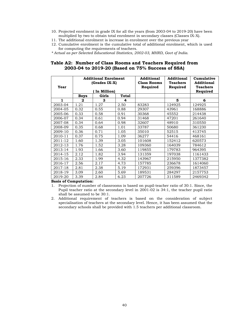- 10. Projected enrolment in grade IX for all the years (from 2003-04 to 2019-20) have been multiplied by two to obtain total enrolment in secondary classes (Classes IX-X).
- 11. The additional enrolment is increase in enrolment over the previous year
- 12. Cumulative enrolment is the cumulative total of additional enrolment, which is used for computing the requirements of teachers.
- *\* Actual as per Selected Educational Statistics, 2002-03, MHRD, Govt of India.*

#### **Table A2: Number of Class Rooms and Teachers Required from 2003-04 to 2019-20 (Based on 75% Success of SSA)**

| Year    |             | <b>Additional Enrolment</b><br>(Grades IX-X)<br>In Million) |              | <b>Additional</b><br><b>Class Rooms</b><br>Required | <b>Additional</b><br><b>Teachers</b><br>Required | Cumulative<br><b>Additional</b><br><b>Teachers</b><br>Required |
|---------|-------------|-------------------------------------------------------------|--------------|-----------------------------------------------------|--------------------------------------------------|----------------------------------------------------------------|
|         | <b>Boys</b> | Girls                                                       | <b>Total</b> |                                                     |                                                  |                                                                |
| 1       | 2           | 3                                                           | 4            |                                                     | 5                                                | 6                                                              |
| 2003-04 | 1.21        | 1.27                                                        | 2.50         | 83283                                               | 124925                                           | 124925                                                         |
| 2004-05 | 0.32        | 0.55                                                        | 0.88         | 29307                                               | 43961                                            | 168886                                                         |
| 2005-06 | 0.33        | 0.58                                                        | 0.91         | 30368                                               | 45552                                            | 214438                                                         |
| 2006-07 | 0.34        | 0.61                                                        | 0.94         | 31468                                               | 47201                                            | 261640                                                         |
| 2007-08 | 0.34        | 0.64                                                        | 0.98         | 32607                                               | 48910                                            | 310550                                                         |
| 2008-09 | 0.35        | 0.68                                                        | 1.01         | 33787                                               | 50680                                            | 361230                                                         |
| 2009-10 | 0.36        | 0.71                                                        | 1.05         | 35010                                               | 52515                                            | 413745                                                         |
| 2010-11 | 0.37        | 0.75                                                        | 1.09         | 36277                                               | 54416                                            | 468161                                                         |
| 2011-12 | 1.60        | 1.39                                                        | 3.05         | 101608                                              | 152412                                           | 620573                                                         |
| 2012-13 | 1.76        | 1.52                                                        | 3.28         | 109360                                              | 164039                                           | 784612                                                         |
| 2013-14 | 1.93        | 1.66                                                        | 3.60         | 119855                                              | 179783                                           | 964395                                                         |
| 2014-15 | 2.12        | 1.82                                                        | 3.94         | 131359                                              | 197038                                           | 1161433                                                        |
| 2015-16 | 2.33        | 1.99                                                        | 4.32         | 143967                                              | 215950                                           | 1377382                                                        |
| 2016-17 | 2.56        | 2.17                                                        | 4.73         | 157785                                              | 236678                                           | 1614060                                                        |
| 2017-18 | 2.81        | 2.38                                                        | 5.19         | 172931                                              | 259396                                           | 1873457                                                        |
| 2018-19 | 3.09        | 2.60                                                        | 5.69         | 189531                                              | 284297                                           | 2157753                                                        |
| 2019-20 | 3.39        | 2.84                                                        | 6.23         | 207726                                              | 311589                                           | 2469342                                                        |

#### **Basis of Computation:**

1. Projection of number of classrooms is based on pupil-teacher ratio of 30:1. Since, the Pupil teacher ratio at the secondary level in 2001-02 is 34:1, the teacher pupil ratio shall be assumed to be 30:1.

2. Additional requirement of teachers is based on the consideration of subject specialisation of teachers at the secondary level. Hence, it has been assumed that the secondary schools shall be provided with 1.5 teachers per additional classroom.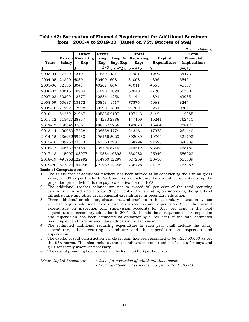## **Table A3: Estimation of Financial Requirement for Additional Enrolment from 2003-4 to 2019-20 (Based on 75% Success of SSA)**

|              |               |                                  |                       |                             |                            |                        | (Rs. In Millions)                  |
|--------------|---------------|----------------------------------|-----------------------|-----------------------------|----------------------------|------------------------|------------------------------------|
| <b>Years</b> | <b>Salary</b> | Other<br>Exp on Recurring<br>Exp | Recur<br>ring<br>Exp. | Insp. &<br>Sup. Exp         | Total<br>Recurring<br>Expr | Capital<br>Expenditure | Total<br>Financial<br>Implications |
|              | 2             | 3                                |                       | $4 = 2+3 5 = 4*2\% 6 = 4+5$ |                            | 7                      | $8 = 6 + 7$                        |
| 2003-04      | 17240         | 4310                             | 21550                 | 431                         | 21981                      | 12493                  | 34473                              |
| 2004-05      | 24320         | 6080                             | 30400                 | 608                         | 31008                      | 4396                   | 35404                              |
| 2005-06      | 32166         | 8041                             | 40207                 | 804                         | 41011                      | 4555                   | 45567                              |
| 2006-07      | 40816         | 10204                            | 51020                 | 1020                        | 52040                      | 4720                   | 56760                              |
| 2007-08      | 50309         | 12577                            | 62886                 | 1258                        | 64144                      | 4891                   | 69035                              |
| 2008-09      | 60687         | 15172                            | 75858                 | 1517                        | 77375                      | 5068                   | 82444                              |
| 2009-10      | 71992         | 17998                            | 89990                 | 1800                        | 91789                      | 5251                   | 97041                              |
| 2010-11      | 84269         | 21067                            | 1053362107            |                             | 107443                     | 5442                   | 112885                             |
| 2011-12      | 11542728857   |                                  | 1442832886            |                             | 147169                     | 15241                  | 162410                             |
| 2012-13      | 15064637661   |                                  | 188307 3766           |                             | 192073                     | 16404                  | 208477                             |
| 2013-14      | 19095047738   |                                  | 238688 4774           |                             | 243461                     | 17978                  | 261440                             |
| 2014-15      | 23693259233   |                                  | 296165 5923           |                             | 302089                     | 19704                  | 321792                             |
| 2015-16      | 289250 72313  |                                  | 361563 7231           |                             | 368794                     | 21595                  | 390389                             |
| 2016-17      | 34863787159   |                                  | 435796 8716           |                             | 444512                     | 23668                  | 468180                             |
| 2017-18      |               | 415907 103977                    | 519884 10398          |                             | 530282                     | 25940                  | 556222                             |
| 2018-19      |               | 491968 122992                    | 614960 12299          |                             | 627259                     | 28430                  | 655689                             |
| 2019-20      |               | 577826 144456                    | 722282 14446          |                             | 736728                     | 31159                  | 767887                             |

#### **Basis of Computation:**

- 1. The salary cost of additional teachers has been arrived at by considering the annual gross salary of TGT as per the Fifth Pay Commission, including the annual increments during the projection period (which is the pay scale of teachers in KVS).
- 2. The additional teacher salaries are not to exceed 80 per cent of the total recurring expenditure in order to allocate 20 per cent of the spending on improving the quality of infrastructure and other developmental expenditures in secondary education.
- 3. These additional enrolments, classrooms and teachers in the secondary education system will also require additional expenditure on inspection and supervision. Since the current expenditure on inspection and supervision accounts for 0.55 per cent in the total expenditure on secondary education in 2001-02, the additional requirement for inspection and supervision has been estimated as apportioning 2 per cent of the total estimated recurring expenditure on secondary education for each year.
- 4. The estimated additional recurring expenditure in each year shall include the salary expenditure, other recurring expenditure and the expenditure on inspection and supervision
- 5. The capital cost of construction per class room has been assumed to be Rs.1,50,000 as per the SSA norms. This also includes the expenditure on construction of toilets for boys and girls separately wherever necessary.
- 6. The cost of providing laboratories will be Rs. 1,50,000 per laboratory.

*\*Note: Capital Expenditure = Cost of construction of additional class rooms = No. of additional class rooms in a year* × *Rs. 1,50,000*.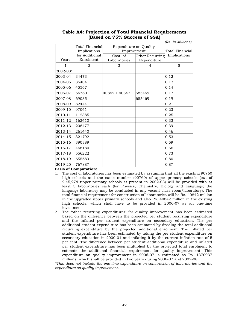|          |                                                   |                                              |                                | (Rs. In Millions) |
|----------|---------------------------------------------------|----------------------------------------------|--------------------------------|-------------------|
|          | Total Financial<br>Implications<br>for Additional | <b>Expenditure on Quality</b><br>Improvement | Total Financial                |                   |
| Years    | Enrolment                                         | Cost of<br>Laboratories                      | Other Recurring<br>Expenditure | Implications      |
| 1        | 2                                                 | 3                                            | 4                              | 5                 |
| 2002-03* |                                                   |                                              |                                |                   |
| 2003-04  | 34473                                             |                                              |                                | 0.12              |
| 2004-05  | 35404                                             |                                              |                                | 0.12              |
| 2005-06  | 45567                                             |                                              |                                | 0.14              |
| 2006-07  | 56760                                             | 40842 + 40842                                | 685469                         | 0.17              |
| 2007-08  | 69035                                             |                                              | 685469                         | 0.19              |
| 2008-09  | 82444                                             |                                              |                                | 0.21              |
| 2009-10  | 97041                                             |                                              |                                | 0.23              |
| 2010-11  | 112885                                            |                                              |                                | 0.25              |
| 2011-12  | 162410                                            |                                              |                                | 0.33              |
| 2012-13  | 208477                                            |                                              |                                | 0.39              |
| 2013-14  | 261440                                            |                                              |                                | 0.46              |
| 2014-15  | 321792                                            |                                              |                                | 0.53              |
| 2015-16  | 390389                                            |                                              |                                | 0.59              |
| 2016-17  | 468180                                            |                                              |                                | 0.66              |
| 2017-18  | 556222                                            |                                              |                                | 0.73              |
| 2018-19  | 655689                                            |                                              |                                | 0.80              |
| 2019-20  | 767887                                            |                                              |                                | 0.87              |

## **Table A4: Projection of Total Financial Requirements (Based on 75% Success of SSA)**

**Basis of Computation:** 

- 1. The cost of laboratories has been estimated by assuming that all the existing 90760 high schools and the same number (90760) of upper primary schools (out of 2,45,274 upper primary schools at present in 2002-03) will be provided with at least 3 laboratories each (for Physics, Chemistry, Biology and Language; the language laboratory may be conducted in any vacant class room/laboratory). The total financial requirement for construction of laboratories will be Rs. 40842 million in the upgraded upper primary schools and also Rs. 40842 million in the existing high schools, which shall have to be provided in 2006-07 as an one-time investment
- 2. The 'other recurring expenditures' for quality improvement has been estimated based on the difference between the projected per student recurring expenditure and the inflated per student expenditure on secondary education. The per additional student expenditure has been estimated by dividing the total additional recurring expenditure by the projected additional enrolment. The inflated per student expenditure has been estimated by taking the per student expenditure on secondary education in 2000-01 and inflating it by the current inflation rate of 5 per cent. The difference between per student additional expenditure and inflated per student expenditure has been multiplied by the projected total enrolment to estimate the additional financial requirement for quality improvement. This expenditure on quality improvement in 2006-07 is estimated as Rs. 1370937 millions, which shall be provided in two years during 2006-07 and 2007-08.

*\*This does not include the one-time expenditure on construction of laboratories and the expenditure on quality improvement.*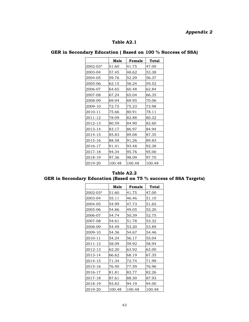# *Appendix 2*

## **Table A2.1**

| GER in Secondary Education (Based on 100 % Success of SSA) |  |
|------------------------------------------------------------|--|
|------------------------------------------------------------|--|

|          | Male   | Female | Total  |
|----------|--------|--------|--------|
| 2002-03* | 51.60  | 41.75  | 47.00  |
| 2003-04  | 57.45  | 48.62  | 53.38  |
| 2004-05  | 59.76  | 52.29  | 56.37  |
| 2005-06  | 62.15  | 56.24  | 59.52  |
| 2006-07  | 64.65  | 60.48  | 62.84  |
| 2007-08  | 67.24  | 65.04  | 66.35  |
| 2008-09  | 69.94  | 69.95  | 70.06  |
| 2009-10  | 72.75  | 75.23  | 73.98  |
| 2010-11  | 75.66  | 80.91  | 78.11  |
| 2011-12  | 78.09  | 82.88  | 80.32  |
| 2012-13  | 80.59  | 84.90  | 82.60  |
| 2013-14  | 83.17  | 86.97  | 84.94  |
| 2014-15  | 85.83  | 89.08  | 87.35  |
| 2015-16  | 88.58  | 91.26  | 89.83  |
| 2016-17  | 91.41  | 93.48  | 92.38  |
| 2017-18  | 94.34  | 95.76  | 95.00  |
| 2018-19  | 97.36  | 98.09  | 97.70  |
| 2019-20  | 100.48 | 100.48 | 100.48 |

| Table A2.2                                                        |  |  |  |  |  |  |  |
|-------------------------------------------------------------------|--|--|--|--|--|--|--|
| GER in Secondary Education (Based on 75 % success of SSA Targets) |  |  |  |  |  |  |  |

|          | Male   | Female | Total  |
|----------|--------|--------|--------|
| 2002-03* | 51.60  | 41.75  | 47.00  |
| 2003-04  | 55.11  | 46.46  | 51.10  |
| 2004-05  | 54.99  | 47.73  | 51.65  |
| 2005-06  | 54.86  | 49.05  | 52.20  |
| 2006-07  | 54.74  | 50.39  | 52.75  |
| 2007-08  | 54.61  | 51.78  | 53.32  |
| 2008-09  | 54.49  | 53.20  | 53.89  |
| 2009-10  | 54.36  | 54.67  | 54.46  |
| 2010-11  | 54.24  | 56.17  | 55.04  |
| 2011-12  | 58.09  | 59.92  | 58.94  |
| 2012-13  | 62.20  | 63.92  | 63.00  |
| 2013-14  | 66.62  | 68.19  | 67.35  |
| 2014-15  | 71.34  | 72.74  | 71.99  |
| 2015-16  | 76.40  | 77.59  | 76.96  |
| 2016-17  | 81.81  | 82.77  | 82.26  |
| 2017-18  | 87.61  | 88.30  | 87.93  |
| 2018-19  | 93.83  | 94.19  | 94.00  |
| 2019-20  | 100.48 | 100.48 | 100.48 |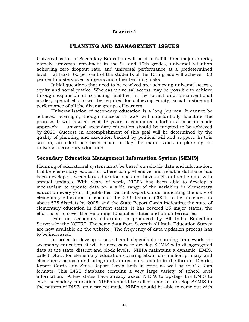#### **CHAPTER 4**

# **PLANNING AND MANAGEMENT ISSUES**

Universalisation of Secondary Education will need to fulfill three major criteria, namely, universal enrolment in the 9th and 10th grades, universal retention achieving zero dropout rate, and universal performance at a predetermined level, at least 60 per cent of the students of the 10th grade will achieve 60 per cent mastery over subjects and other learning tasks.

Initial questions that need to be resolved are: achieving universal access, equity and social justice. Whereas universal access may be possible to achieve through expansion of schooling facilities in the formal and unconventional modes, special efforts will be required for achieving equity, social justice and performance of all the diverse groups of learners.

Universalisation of secondary education is a long journey. It cannot be achieved overnight, though success in SSA will substantially facilitate the process. It will take at least 15 years of committed effort in a mission mode approach; universal secondary education should be targeted to be achieved by 2020. Success in accomplishment of this goal will be determined by the quality of planning and execution backed by political will and support. In this section, an effort has been made to flag the main issues in planning for universal secondary education.

## **Secondary Education Management Information System (SEMIS)**

Planning of educational system must be based on reliable data and information. Unlike elementary education where comprehensive and reliable database has been developed, secondary education does not have such authentic data with annual updates. With years of work, NIEPA has been able to develop a mechanism to update data on a wide range of the variables in elementary education every year; it publishes District Report Cards indicating the state of elementary education in each of the 539 districts (2004) to be increased to about 575 districts by 2005; and the State Report Cards indicating the state of elementary education in different states. It has covered 25 major states; the effort is on to cover the remaining 10 smaller states and union territories.

Data on secondary education is produced by All India Education Surveys by the NCERT. The some data from Seventh All India Education Survey are now available on the website. The frequency of data updation process has to be increased.

In order to develop a sound and dependable planning framework for secondary education, it will be necessary to develop SEMIS with disaggregated data at the state, district and block levels. NIEPA maintains a dynamic EMIS, called DISE, for elementary education covering about one million primary and elementary schools and brings out annual data update in the form of District Report Cards and State Report Cards both in print as well as in CR Rom formats. This DISE database contains a very large variety of school level information. A few states have already asked NIEPA to upstage the EMIS to cover secondary education. NIEPA should be called upon to develop SEMIS in the pattern of DISE on a project mode. NIEPA should be able to come out with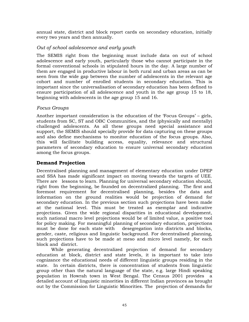annual state, district and block report cards on secondary education, initially every two years and then annually.

## *Out of school adolescence and early youth*

The SEMIS right from the beginning must include data on out of school adolescence and early youth, particularly those who cannot participate in the formal conventional schools in stipulated hours in the day. A large number of them are engaged in productive labour in both rural and urban areas as can be seen from the wide gap between the number of adolescents in the relevant age cohort and number of enrolled students in secondary education. This is important since the universalisation of secondary education has been defined to ensure participation of all adolescence and youth in the age group 15 to 18, beginning with adolescents in the age group 15 and 16.

## *Focus Groups*

Another important consideration is the education of the 'Focus Groups' – girls, students from SC, ST and OBC Communities, and the (physically and mentally) challenged adolescents. As all these groups need special assistance and support, the SEMIS should specially provide for data capturing on these groups and also define mechanisms to monitor education of the focus groups. Also, this will facilitate building access, equality, relevance and structural parameters of secondary education to ensure universal secondary education among the focus groups.

## **Demand Projection**

Decentralised planning and management of elementary education under DPEP and SSA has made significant impact on moving towards the targets of UEE. There are lessons to learn. Planning for universal secondary education should, right from the beginning, be founded on decentralized planning. The first and foremost requirement for decentralised planning, besides the data and information on the ground realities would be projection of demand for secondary education. In the previous section such projections have been made at the national level. This must be treated as exemplar and indicative projections. Given the wide regional disparities in educational development, such national macro level projections would be of limited value, a positive tool for policy making. For meaningful planning of secondary education, projections must be done for each state with desegregation into districts and blocks, gender, caste, religious and linguistic background. For decentralised planning, such projections have to be made at meso and micro level namely, for each block and district.

While generating decentralized projection of demand for secondary education at block, district and state levels, it is important to take into cognizance the educational needs of different linguistic groups residing in the state. In certain districts, there is concentration of students from linguistic group other than the natural language of the state, e.g. large Hindi speaking population in Howrah town in West Bengal. The Census 2001 provides a detailed account of linguistic minorities in different Indian provinces as brought out by the Commission for Linguistic Minorities. The projection of demands for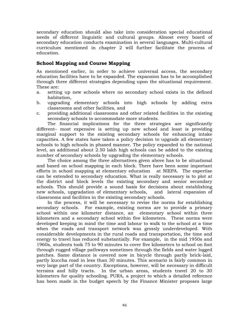secondary education should also take into consideration special educational needs of different linguistic and cultural groups. Almost every board of secondary education conducts examination in several languages. Multi-cultural curriculum mentioned in chapter 2 will further facilitate the process of education.

## **School Mapping and Course Mapping**

As mentioned earlier, in order to achieve universal access, the secondary education facilities have to be expanded. The expansion has to be accomplished through three different strategies depending upon the situational requirement. These are:

- a. setting up new schools where no secondary school exists in the defined habitation,
- b. upgrading elementary schools into high schools by adding extra classrooms and other facilities, and
- c. providing additional classrooms and other related facilities in the existing secondary schools to accommodate more students.

The financial implications for the three strategies are significantly different– most expensive is setting up new school and least is providing marginal support to the existing secondary schools for enhancing intake capacities. A few states have taken a policy decision to upgrade all elementary schools to high schools in phased manner. The policy expanded to the national level, an additional about 2.50 lakh high schools can be added to the existing number of secondary schools by upgrading the elementary schools.

The choice among the three alternatives given above has to be situational and based on school mapping in each block. There have been some important efforts in school mapping at elementary education at NIEPA. The expertise can be extended to secondary education. What is really necessary is to plot at the district and block levels the existing secondary and senior secondary schools. This should provide a sound basis for decisions about establishing new schools, upgradation of elementary schools, and lateral expansion of classrooms and facilities in the existing secondary schools.

In the process, it will be necessary to revise the norms for establishing secondary schools. For example, existing norms are to provide a primary school within one kilometer distance, an elementary school within three kilometers and a secondary school within five kilometers. These norms were developed keeping in mind the time and labour to walk to the school at a time when the roads and transport network was grossly underdeveloped. With considerable developments in the rural roads and transportation, the time and energy to travel has reduced substantially. For example, in the mid 1950s and 1960s, students took 75 to 90 minutes to cover five kilometers to school on foot through rugged village pathways sometimes through the fields and water logged patches. Same distance is covered now in bicycle through partly brick-laid, partly kuccha road in less than 30 minutes. This scenario is fairly common in very large part of the country. Exceptions, however, will be necessary in difficult terrains and hilly tracts. In the urban areas, students travel 20 to 30 kilometers for quality schooling. PURA, a project to which a detailed reference has been made in the budget speech by the Finance Minister proposes large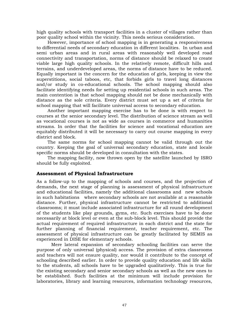high quality schools with transport facilities in a cluster of villages rather than poor quality school within the vicinity. This needs serious consideration.

However, importance of school mapping is in generating a responsiveness to differential needs of secondary education in different localities. In urban and semi urban areas and in rural areas with reasonably well developed road connectivity and transportation, norms of distance should be relaxed to create viable large high quality schools. In the relatively remote, difficult hills and terrains, and underdeveloped areas, the norms of distance have to be reduced. Equally important is the concern for the education of girls, keeping in view the superstitions, social taboos, etc, that forbids girls to travel long distances and/or study in co-educational schools. The school mapping should also facilitate identifying needs for setting up residential schools in such areas. The main contention is that school mapping should not be done mechanically with distance as the sole criteria. Every district must set up a set of criteria for school mapping that will facilitate universal access to secondary education.

Another important mapping exercise has to be done is with respect to courses at the senior secondary level. The distribution of science stream as well as vocational courses is not as wide as courses in commerce and humanities streams. In order that the facilities for science and vocational education are equitably distributed it will be necessary to carry out course mapping in every district and block.

The same norms for school mapping cannot be valid through out the country. Keeping the goal of universal secondary education, state and locale specific norms should be developed in consultation with the states.

The mapping facility, now thrown open by the satellite launched by ISRO should be fully exploited.

#### **Assessment of Physical Infrastructure**

As a follow-up to the mapping of schools and courses, and the projection of demands, the next stage of planning is assessment of physical infrastructure and educational facilities, namely the additional classrooms and new schools in such habitations where secondary schools are not available at a reasonable distance. Further, physical infrastructure cannot be restricted to additional classrooms; it must include associated infrastructure for all round development of the students like play grounds, gyms, etc. Such exercises have to be done necessarily at block level or even at the sub-block level. This should provide the actual requirement of required infrastructure in each district and the state for further planning of financial requirement, teacher requirement, etc. The assessment of physical infrastructure can be greatly facilitated by SEMIS as experienced in DISE for elementary schools.

Mere lateral expansion of secondary schooling facilities can serve the purpose of only universal (physical) access. The provision of extra classrooms and teachers will not ensure quality, nor would it contribute to the concept of schooling described earlier. In order to provide quality education and life skills to the students, all schools have to be upgraded qualitatively. This is true for the existing secondary and senior secondary schools as well as the new ones to be established. Such facilities at the minimum will include provision for laboratories, library and learning resources, information technology resources,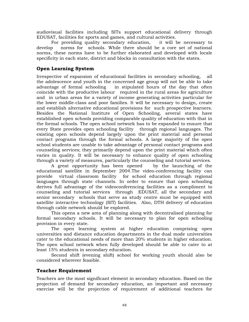audiovisual facilities including SITs support educational delivery through EDUSAT, facilities for sports and games, and cultural activities.

For providing quality secondary education, it will be necessary to develop norms for schools. While there should be a core set of national norms, these norms have to be further elaborated and developed with locale specificity in each state, district and blocks in consultation with the states.

## **Open Learning System**

Irrespective of expansion of educational facilities in secondary schooling, all the adolescence and youth in the concerned age group will not be able to take advantage of formal schooling in stipulated hours of the day that often coincide with the productive labour required in the rural areas for agriculture and in urban areas for a variety of income generating activities particular for the lower middle-class and poor families. It will be necessary to design, create and establish alternative educational provisions for such prospective learners. Besides the National Institute of Open Schooling, several states have established open schools providing comparable quality of education with that in the formal schools. The open school network has to be expanded to ensure that every State provides open schooling facility through regional languages. The existing open schools depend largely upon the print material and personal contact programs through the formal schools. A large majority of the open school students are unable to take advantage of personal contact programs and counseling services; they primarily depend upon the print material which often varies in quality. It will be necessary to enhance quality of open schooling through a variety of measures, particularly the counseling and tutorial services.

A great opportunity has been opened by the launching of the educational satellite in September 2004.The video-conferencing facility can provide virtual classroom facility for school education through regional languages through state channels. In order to ensure that open schooling derives full advantage of the videoconferencing facilities as a compliment to counseling and tutorial services through EDUSAT, all the secondary and senior secondary schools that serve as study centre must be equipped with satellite interactive technology (SIT) facilities. Also, DTH delivery of education through cable network should be explored.

This opens a new area of planning along with decentralised planning for formal secondary schools. It will be necessary to plan for open schooling provision in every state.

The open learning system at higher education comprising open universities and distance education departments in the dual mode universities cater to the educational needs of more than 20% students in higher education. The open school network when fully developed should be able to cater to at least 15% students in secondary education.

Second shift (evening shift) school for working youth should also be considered wherever feasible.

## **Teacher Requirement**

Teachers are the most significant element in secondary education. Based on the projection of demand for secondary education, an important and necessary exercise will be the projection of requirement of additional teachers for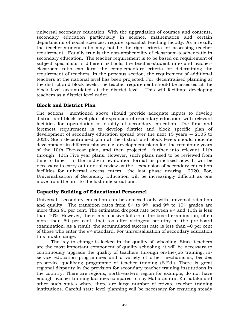universal secondary education. With the upgradation of courses and contents, secondary education particularly in science, mathematics and certain departments of social sciences, require specialist teaching faculty. As a result, the teacher-student ratio may not be the right criteria for assessing teacher requirement. Equally true is the non-applicability of classroom-teacher ratio in secondary education. The teacher requirement is to be based on requirement of subject specialists in different schools; the teacher-student ratio and teacherclassroom ratio can form the complementary criteria for determining the requirement of teachers. In the previous section, the requirement of additional teachers at the national level has been projected. For decentralised planning at the district and block levels, the teacher requirement should be assessed at the block level accumulated at the district level. This will facilitate developing teachers as a district level cadre.

## **Block and District Plan**

The actions mentioned above should provide adequate inputs to develop district and block level plan of expansion of secondary education with relevant facilities for upgradation of quality of secondary education. The first and foremost requirement is to develop district and block specific plan of development of secondary education spread over the next 15 years -- 2005 to 2020. Such decentralised plan at the district and block levels should indicate development in different phases e.g. development plans for the remaining years of the 10th Five-year plan, and then projected further into relevant 11th through 13th Five year plans. However, such plans need to be reviewed from time to time in the midterm evaluation format as practised now. It will be necessary to carry out annual review as the expansion of secondary education facilities for universal access enters the last phase nearing 2020. For, Universalisation of Secondary Education will be increasingly difficult as one move from the first to the last mile situations.

## **Capacity Building of Educational Personnel**

Universal secondary education can be achieved only with universal retention and quality. The transition rates from  $8<sup>th</sup>$  to  $9<sup>th</sup>$  and  $9<sup>th</sup>$  to  $10<sup>th</sup>$  grades are more than 90 per cent. The estimated dropout rate between 9<sup>th</sup> and 10th is less than 10%. However, there is a massive failure at the board examination, often more than 50 per cent, that too after stringent scrutiny at the pre-board examination. As a result, the accumulated success rate is less than 40 per cent of those who enter the 9th standard. For universalisation of secondary education this must change.

The key to change is locked in the quality of schooling. Since teachers are the most important component of quality schooling, it will be necessary to continuously upgrade the quality of teachers through on-the-job training, inservice education programmes and a variety of other mechanisms, besides preservice qualifying programme of teacher training (B.Ed.). There is great regional disparity in the provision for secondary teacher training institutions in the country. There are regions, north-eastern region for example, do not have enough teacher training facilities compared to say Maharashtra, Karnataka and other such states where there are large number of private teacher training institutions. Careful state level planning will be necessary for ensuring steady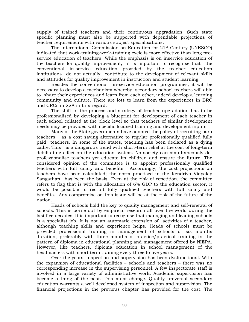supply of trained teachers and their continuous upgradation. Such state specific planning must also be supported with dependable projections of teacher requirements with various subject specialisations.

The International Commission on Education for 21st Century (UNESCO) indicated that work-training-work-training cycle is more effective than long preservice education of teachers. While the emphasis is on inservice education of the teachers for quality improvement, it is important to recognise that the conventional in-service education provided by the teacher education institutions do not actually contribute to the development of relevant skills and attitudes for quality improvement in instruction and student learning.

Besides the conventional in-service education programmes, it will be necessary to develop a mechanism whereby secondary school teachers will able to share their experiences and learn from each other, indeed develop a learning community and culture. There are lots to learn from the experiences in BRC and CRCs in SSA in this regard.

The shift in the process and strategy of teacher upgradation has to be professionalised by developing a blueprint for development of each teacher in each school collated at the block level so that teachers of similar development needs may be provided with specific focused training and development inputs.

Many of the State governments have adopted the policy of recruiting para teachers as a cost saving alternative to regular professionally qualified fully paid teachers. In some of the states, teaching has been declared as a dying cadre. This is a dangerous trend with short-term relief at the cost of long-term debilitating effect on the education system. No society can simultaneously deprofessionalise teachers yet educate its children and ensure the future. The considered opinion of the committee is to appoint professionally qualified teachers with full salary and benefits. Accordingly, the cost projections on teachers have been calculated; the norm practised in the Kendriya Vidyalay Sangathan has been the basis. Even at the risk of repetition, the committee refers to flag that is with the allocation of 6% GDP to the education sector, it would be possible to recruit fully qualified teachers with full salary and benefits. Any compromise on this issue will be at the risk of the future of the nation.

Heads of schools hold the key to quality management and self-renewal of schools. This is borne out by empirical research all over the world during the last five decades. It is important to recognise that managing and leading schools is a specialist job. It is not an automatic extension of activities of a teacher, although teaching skills and experience helps. Heads of schools must be provided professional training in management of schools of six months duration, preferably with three months of practice/practical training in the pattern of diploma in educational planning and management offered by NIEPA. However, like teachers, diploma education in school management of the headmasters with short term training every three to five years.

Over the years, inspection and supervision has been dysfunctional. With the expansion of educational facilities – schools and teachers – there was no corresponding increase in the supervising personnel. A few inspectorate staff is involved in a large variety of administrative work. Academic supervision has become a thing of the past. This must change. Quality universal secondary education warrants a well developed system of inspection and supervision. The financial projections in the previous chapter has provided for the cost. The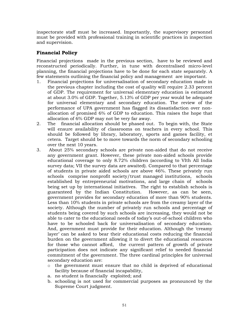inspectorate staff must be increased. Importantly, the supervisory personnel must be provided with professional training in scientific practices in inspection and supervision.

# **Financial Policy**

Financial projections made in the previous section, have to be reviewed and reconstructed periodically. Further, in tune with decentralised micro-level planning, the financial projections have to be done for each state separately. A few statements outlining the financial policy and management are important.

- 1. Financial projections for universalisation of secondary education made in the previous chapter including the cost of quality will require 2.33 percent of GDP. The requirement for universal elementary education is estimated at about 3.0% of GDP. Together, 5.13% of GDP per year would be adequate for universal elementary and secondary education. The review of the performance of UPA government has flagged its dissatisfaction over nonallocation of promised 6% of GDP to education. This raises the hope that allocation of 6% GDP may not be very far away.
- 2. The financial allocation should be phased out. To begin with, the State will ensure availability of classrooms on teachers in every school. This should be followed by library, laboratory, sports and games facility, et cetera. Target should be to move towards the norm of secondary schooling over the next 10 years.
- 3. About 25% secondary schools are private non-aided that do not receive any government grant. However, these private non-aided schools provide educational coverage to only 8.72% children (according to VIth All India survey data; VII the survey data are awaited). Compared to that percentage of students in private aided schools are above 46%. These privately run schools comprise nonprofit society/trust managed institutions, schools established by entrepreneurial motivations, and large chain of schools being set up by international initiatives. The right to establish schools is guaranteed by the Indian Constitution. However, as can be seen, government provides for secondary education of more than 90% students. Less than 10% students in private schools are from the creamy layer of the society. Although the number of privately run schools and percentage of students being covered by such schools are increasing, they would not be able to cater to the educational needs of today's out-of-school children who have to be schooled back for universalisation of secondary education. And, government must provide for their education. Although the 'creamy layer' can be asked to bear their educational costs reducing the financial burden on the government allowing it to divert the educational resources for those who cannot afford, the current pattern of growth of private participation does not indicate any significant relief to needed financial commitment of the government. The three cardinal principles for universal secondary education are:
	- o the government must ensure that no child is deprived of educational facility because of financial incapability,
	- a. no student is financially exploited; and
	- b. schooling is not used for commercial purposes as pronounced by the Supreme Court judgment.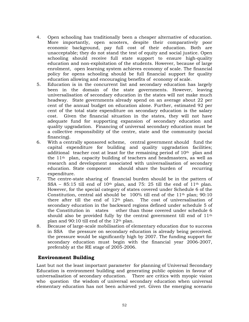- 4. Open schooling has traditionally been a cheaper alternative of education. More importantly, open scooters, despite their comparatively poor economic background, pay full cost of their education. Both are unacceptable; they do not stand the test of equity and social justice. Open schooling should receive full state support to ensure high-quality education and non-exploitation of the students. However, because of large enrolment, open learning system achieves economy of scale. The financial policy for opens schooling should be full financial support for quality education allowing and encouraging benefits of economy of scale.
- 5. Education is in the concurrent list and secondary education has largely been in the domain of the state governments. However, leaving universalisation of secondary education in the states will not make much headway. State governments already spend on an average about 22 per cent of the annual budget on education alone. Further, estimated 92 per cent of the total state expenditure on secondary education is the salary cost. Given the financial situation in the states, they will not have adequate fund for supporting expansion of secondary education and quality upgradation. Financing of universal secondary education must be a collective responsibility of the centre, state and the community (social financing).
- 6. With a centrally sponsored scheme, central government should fund the capital expenditure for building and quality upgradation facilities; additional teacher cost at least for the remaining period of 10th plan and the  $11<sup>th</sup>$  plan, capacity building of teachers and headmasters, as well as research and development associated with universalisation of secondary education. State component should share the burden of recurring expenditure.
- 7. The centre-state sharing of financial burden should be in the pattern of SSA – 85:15 till end of 10<sup>th</sup> plan, and 75: 25 till the end of 11<sup>th</sup> plan. However, for the special category of states covered under Schedule 6 of the Constitution, central aid should be 100% till end of the 11th plan; 90:10 there after till the end of  $12<sup>th</sup>$  plan. The cost of universalisation of secondary education in the backward regions defined under schedule 5 of the Constitution in states other than those covered under schedule 6 should also be provided fully by the central government till end of  $11<sup>th</sup>$ plan and  $90:10$  till end of the  $12<sup>th</sup>$  plan.
- 8. Because of large-scale mobilisation of elementary education due to success in SSA the pressure on secondary education is already being perceived. the pressure would be significantly high by 2007. The funding support for secondary education must begin with the financial year 2006-2007, preferably at the RE stage of 2005-2006.

## **Environment Building**

Last but not the least important parameter for planning of Universal Secondary Education is environment building and generating public opinion in favour of universalisation of secondary education. There are critics with myopic vision who question the wisdom of universal secondary education when universal elementary education has not been achieved yet. Given the emerging scenario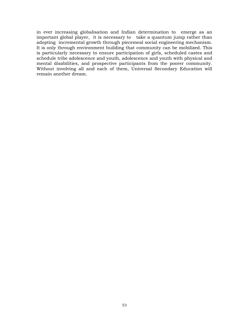in ever increasing globalisation and Indian determination to emerge as an important global player, it is necessary to take a quantum jump rather than adopting incremental growth through piecemeal social engineering mechanism. It is only through environment building that community can be mobilized. This is particularly necessary to ensure participation of girls, scheduled castes and schedule tribe adolescence and youth, adolescence and youth with physical and mental disabilities, and prospective participants from the poorer community. Without involving all and each of them, Universal Secondary Education will remain another dream.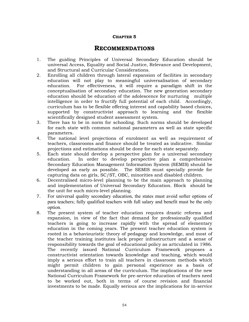## **CHAPTER 5**

# **RECOMMENDATIONS**

- 1. The guiding Principles of Universal Secondary Education should be universal Access, Equality and Social Justice, Relevance and Development, and Structural and Curricular Considerations.
- 2. Enrolling all children through lateral expansion of facilities in secondary education will not play to meaningful universalisation of secondary education. For effectiveness, it will require a paradigm shift in the conceptualisation of secondary education. The new generation secondary education should be education of the adolescence for nurturing multiple intelligence in order to fructify full potential of each child. Accordingly, curriculum has to be flexible offering interest and capability based choices, supported by constructivist approach to learning and the flexible scientifically designed student assessment system.
- 3. There has to be in norm for schooling. Such norms should be developed for each state with common national parameters as well as state specific parameters.
- 4. The national level projections of enrolment as well as requirement of teachers, classrooms and finance should be treated as indicative. Similar projections and estimations should be done for each state separately.
- 5. Each state should develop a perspective plan for a universal secondary education. In order to develop perspective plan a comprehensive Secondary Education Management Information System (SEMIS) should be developed as early as possible. The SEMIS must specially provide for capturing data on girls, SC/ST, OBC, minorities and disabled children.
- 6. Decentralised micro-level planning to be the main approach to planning and implementation of Universal Secondary Education. Block should be the unit for such micro-level planning.
- 7. For universal quality secondary education, the states must avoid softer options of para teachers; fully qualified teachers with full salary and benefit must be the only option.
- 8. The present system of teacher education requires drastic reforms and expansion, in view of the fact that demand for professionally qualified teachers is going to increase rapidly with the spread of elementary education in the coming years. The present teacher education system is rooted in a behaviouristic theory of pedagogy and knowledge, and most of the teacher training institutes lack proper infrastructure and a sense of responsibility towards the goal of educational policy as articulated in 1986. The recently issued National Curriculum Framework proposes a constructivist orientation towards knowledge and teaching, which would imply a serious effort to train all teachers in classroom methods which might permit children to gain personal experience as a basis of understanding in all areas of the curriculum. The implications of the new National Curriculum Framework for pre-service education of teachers need to be worked out, both in terms of course revision and financial investments to be made. Equally serious are the implications for in-service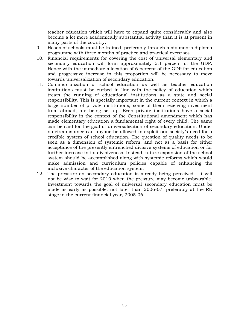teacher education which will have to expand quite considerably and also become a lot more academically substantial activity than it is at present in many parts of the country.

- 9. Heads of schools must be trained, preferably through a six-month diploma programme with three months of practice and practical exercises.
- 10. Financial requirements for covering the cost of universal elementary and secondary education will form approximately 5.1 percent of the GDP. Hence with the immediate allocation of 6 percent of the GDP for education and progressive increase in this proportion will be necessary to move towards universalization of secondary education.
- 11. Commercialization of school education as well as teacher education institutions must be curbed in line with the policy of education which treats the running of educational institutions as a state and social responsibility. This is specially important in the current context in which a large number of private institutions, some of them receiving investment from abroad, are being set up. Even private institutions have a social responsibility in the context of the Constitutional amendment which has made elementary education a fundamental right of every child. The same can be said for the goal of universalization of secondary education. Under no circumstance can anyone be allowed to exploit our society's need for a credible system of school education. The question of quality needs to be seen as a dimension of systemic reform, and not as a basis for either acceptance of the presently entrenched divisive systems of education or for further increase in its divisiveness. Instead, future expansion of the school system should be accomplished along with systemic reforms which would make admission and curriculum policies capable of enhancing the inclusive character of the education system.
- 12. The pressure on secondary education is already being perceived. It will not be wise to wait for 2010 when the pressure may become unbearable. Investment towards the goal of universal secondary education must be made as early as possible, not later than 2006-07, preferably at the RE stage in the current financial year, 2005-06.